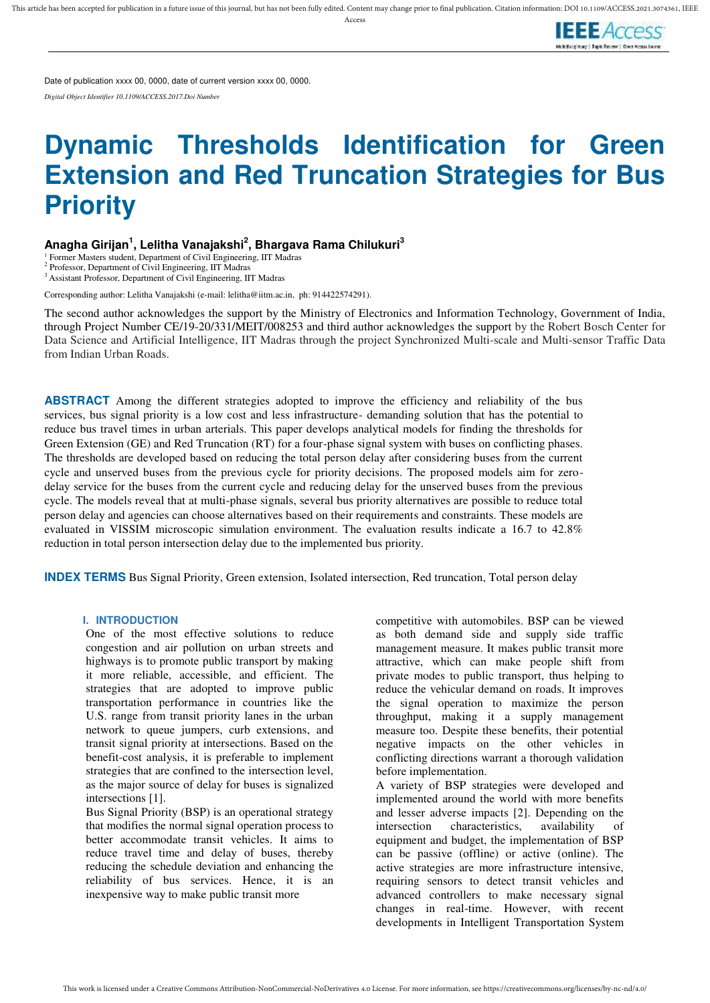Access



Date of publication xxxx 00, 0000, date of current version xxxx 00, 0000.

*Digital Object Identifier 10.1109/ACCESS.2017.Doi Number* 

# **Dynamic Thresholds Identification for Green Extension and Red Truncation Strategies for Bus Priority**

## **Anagha Girijan<sup>1</sup> , Lelitha Vanajakshi<sup>2</sup> , Bhargava Rama Chilukuri<sup>3</sup>**

<sup>1</sup> Former Masters student, Department of Civil Engineering, IIT Madras

 Professor, Department of Civil Engineering, IIT Madras <sup>3</sup>Assistant Professor, Department of Civil Engineering, IIT Madras

Corresponding author: Lelitha Vanajakshi (e-mail: lelitha@iitm.ac.in, ph: 914422574291).

The second author acknowledges the support by the Ministry of Electronics and Information Technology, Government of India, through Project Number CE/19-20/331/MEIT/008253 and third author acknowledges the support by the Robert Bosch Center for Data Science and Artificial Intelligence, IIT Madras through the project Synchronized Multi-scale and Multi-sensor Traffic Data from Indian Urban Roads.

**ABSTRACT** Among the different strategies adopted to improve the efficiency and reliability of the bus services, bus signal priority is a low cost and less infrastructure- demanding solution that has the potential to reduce bus travel times in urban arterials. This paper develops analytical models for finding the thresholds for Green Extension (GE) and Red Truncation (RT) for a four-phase signal system with buses on conflicting phases. The thresholds are developed based on reducing the total person delay after considering buses from the current cycle and unserved buses from the previous cycle for priority decisions. The proposed models aim for zerodelay service for the buses from the current cycle and reducing delay for the unserved buses from the previous cycle. The models reveal that at multi-phase signals, several bus priority alternatives are possible to reduce total person delay and agencies can choose alternatives based on their requirements and constraints. These models are evaluated in VISSIM microscopic simulation environment. The evaluation results indicate a 16.7 to 42.8% reduction in total person intersection delay due to the implemented bus priority.

**INDEX TERMS** Bus Signal Priority, Green extension, Isolated intersection, Red truncation, Total person delay

## **I. INTRODUCTION**

One of the most effective solutions to reduce congestion and air pollution on urban streets and highways is to promote public transport by making it more reliable, accessible, and efficient. The strategies that are adopted to improve public transportation performance in countries like the U.S. range from transit priority lanes in the urban network to queue jumpers, curb extensions, and transit signal priority at intersections. Based on the benefit-cost analysis, it is preferable to implement strategies that are confined to the intersection level, as the major source of delay for buses is signalized intersections [1].

Bus Signal Priority (BSP) is an operational strategy that modifies the normal signal operation process to better accommodate transit vehicles. It aims to reduce travel time and delay of buses, thereby reducing the schedule deviation and enhancing the reliability of bus services. Hence, it is an inexpensive way to make public transit more

competitive with automobiles. BSP can be viewed as both demand side and supply side traffic management measure. It makes public transit more attractive, which can make people shift from private modes to public transport, thus helping to reduce the vehicular demand on roads. It improves the signal operation to maximize the person throughput, making it a supply management measure too. Despite these benefits, their potential negative impacts on the other vehicles in conflicting directions warrant a thorough validation before implementation.

A variety of BSP strategies were developed and implemented around the world with more benefits and lesser adverse impacts [2]. Depending on the intersection characteristics, availability of equipment and budget, the implementation of BSP can be passive (offline) or active (online). The active strategies are more infrastructure intensive, requiring sensors to detect transit vehicles and advanced controllers to make necessary signal changes in real-time. However, with recent developments in Intelligent Transportation System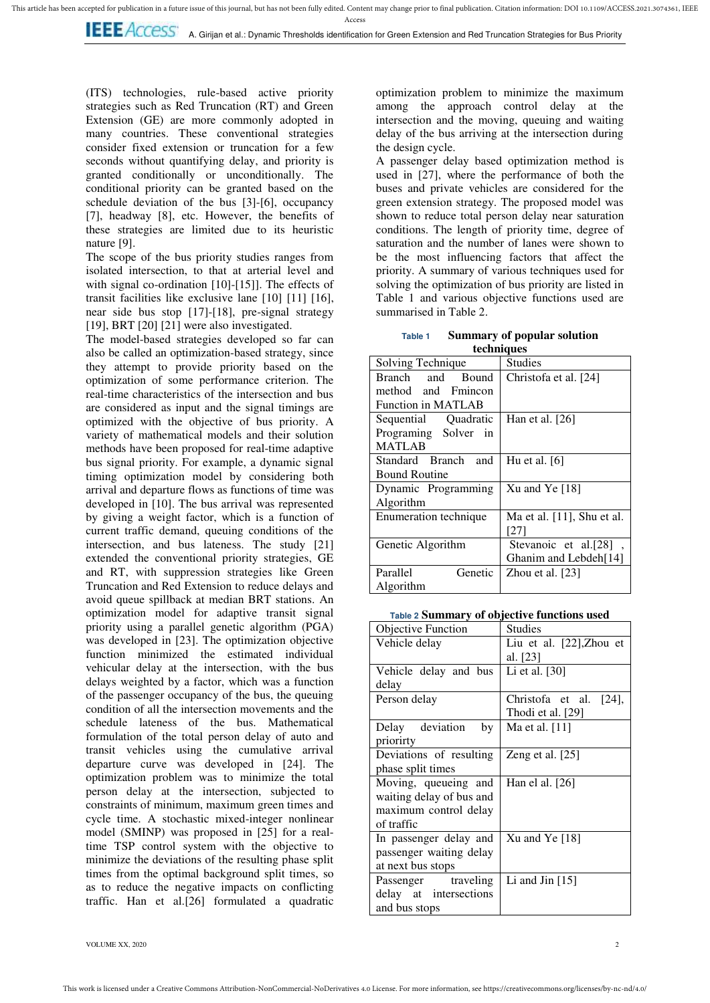This article has been accepted for publication in a future issue of this journal, but has not been fully edited. Content may change prior to final publication. Citation information: DOI 10.1109/ACCESS.2021.3074361, IEEE

Acces:

**I.E.E.** ACCESS A. Girijan et al.: Dynamic Thresholds identification for Green Extension and Red Truncation Strategies for Bus Priority

(ITS) technologies, rule-based active priority strategies such as Red Truncation (RT) and Green Extension (GE) are more commonly adopted in many countries. These conventional strategies consider fixed extension or truncation for a few seconds without quantifying delay, and priority is granted conditionally or unconditionally. The conditional priority can be granted based on the schedule deviation of the bus [3]-[6], occupancy [7], headway [8], etc. However, the benefits of these strategies are limited due to its heuristic nature [9].

The scope of the bus priority studies ranges from isolated intersection, to that at arterial level and with signal co-ordination [10]-[15]]. The effects of transit facilities like exclusive lane [10] [11] [16], near side bus stop [17]-[18], pre-signal strategy [19], BRT [20] [21] were also investigated.

The model-based strategies developed so far can also be called an optimization-based strategy, since they attempt to provide priority based on the optimization of some performance criterion. The real-time characteristics of the intersection and bus are considered as input and the signal timings are optimized with the objective of bus priority. A variety of mathematical models and their solution methods have been proposed for real-time adaptive bus signal priority. For example, a dynamic signal timing optimization model by considering both arrival and departure flows as functions of time was developed in [10]. The bus arrival was represented by giving a weight factor, which is a function of current traffic demand, queuing conditions of the intersection, and bus lateness. The study [21] extended the conventional priority strategies, GE and RT, with suppression strategies like Green Truncation and Red Extension to reduce delays and avoid queue spillback at median BRT stations. An optimization model for adaptive transit signal priority using a parallel genetic algorithm (PGA) was developed in [23]. The optimization objective function minimized the estimated individual vehicular delay at the intersection, with the bus delays weighted by a factor, which was a function of the passenger occupancy of the bus, the queuing condition of all the intersection movements and the schedule lateness of the bus. Mathematical formulation of the total person delay of auto and transit vehicles using the cumulative arrival departure curve was developed in [24]. The optimization problem was to minimize the total person delay at the intersection, subjected to constraints of minimum, maximum green times and cycle time. A stochastic mixed-integer nonlinear model (SMINP) was proposed in [25] for a realtime TSP control system with the objective to minimize the deviations of the resulting phase split times from the optimal background split times, so as to reduce the negative impacts on conflicting traffic. Han et al.[26] formulated a quadratic

optimization problem to minimize the maximum among the approach control delay at the intersection and the moving, queuing and waiting delay of the bus arriving at the intersection during the design cycle.

A passenger delay based optimization method is used in [27], where the performance of both the buses and private vehicles are considered for the green extension strategy. The proposed model was shown to reduce total person delay near saturation conditions. The length of priority time, degree of saturation and the number of lanes were shown to be the most influencing factors that affect the priority. A summary of various techniques used for solving the optimization of bus priority are listed in Table 1 and various objective functions used are summarised in Table 2.

**Table 1 Summary of popular solution techniques** 

| Solving Technique         | <b>Studies</b>                |  |  |  |  |
|---------------------------|-------------------------------|--|--|--|--|
| Branch and Bound          | Christofa et al. [24]         |  |  |  |  |
| method and Fmincon        |                               |  |  |  |  |
| <b>Function in MATLAB</b> |                               |  |  |  |  |
| Sequential Quadratic      | Han et al. $[26]$             |  |  |  |  |
| Programing Solver in      |                               |  |  |  |  |
| <b>MATLAB</b>             |                               |  |  |  |  |
| Standard Branch and       | Hu et al. $[6]$               |  |  |  |  |
| <b>Bound Routine</b>      |                               |  |  |  |  |
| Dynamic Programming       | $Xu$ and Ye $[18]$            |  |  |  |  |
| Algorithm                 |                               |  |  |  |  |
| Enumeration technique     | Ma et al. $[11]$ , Shu et al. |  |  |  |  |
|                           | [27]                          |  |  |  |  |
| Genetic Algorithm         | Stevanoic et al.[28],         |  |  |  |  |
|                           | Ghanim and Lebdeh[14]         |  |  |  |  |
| Genetic<br>Parallel       | Zhou et al. $[23]$            |  |  |  |  |
| Algorithm                 |                               |  |  |  |  |

**Table 2 Summary of objective functions used**

| <b>Objective Function</b> | Studies                  |  |  |  |  |
|---------------------------|--------------------------|--|--|--|--|
| Vehicle delay             | Liu et al. [22], Zhou et |  |  |  |  |
|                           | al. [23]                 |  |  |  |  |
| Vehicle delay and bus     | Li et al. $[30]$         |  |  |  |  |
| delay                     |                          |  |  |  |  |
| Person delay              | Christofa et al. [24],   |  |  |  |  |
|                           | Thodi et al. [29]        |  |  |  |  |
| Delay deviation<br>by     | Ma et al. $[11]$         |  |  |  |  |
| priorirty                 |                          |  |  |  |  |
| Deviations of resulting   | Zeng et al. $[25]$       |  |  |  |  |
| phase split times         |                          |  |  |  |  |
| Moving, queueing and      | Han el al. $[26]$        |  |  |  |  |
| waiting delay of bus and  |                          |  |  |  |  |
| maximum control delay     |                          |  |  |  |  |
| of traffic                |                          |  |  |  |  |
| In passenger delay and    | Xu and Ye [18]           |  |  |  |  |
| passenger waiting delay   |                          |  |  |  |  |
| at next bus stops         |                          |  |  |  |  |
| Passenger traveling       | Li and Jin $[15]$        |  |  |  |  |
| delay at intersections    |                          |  |  |  |  |
| and bus stops             |                          |  |  |  |  |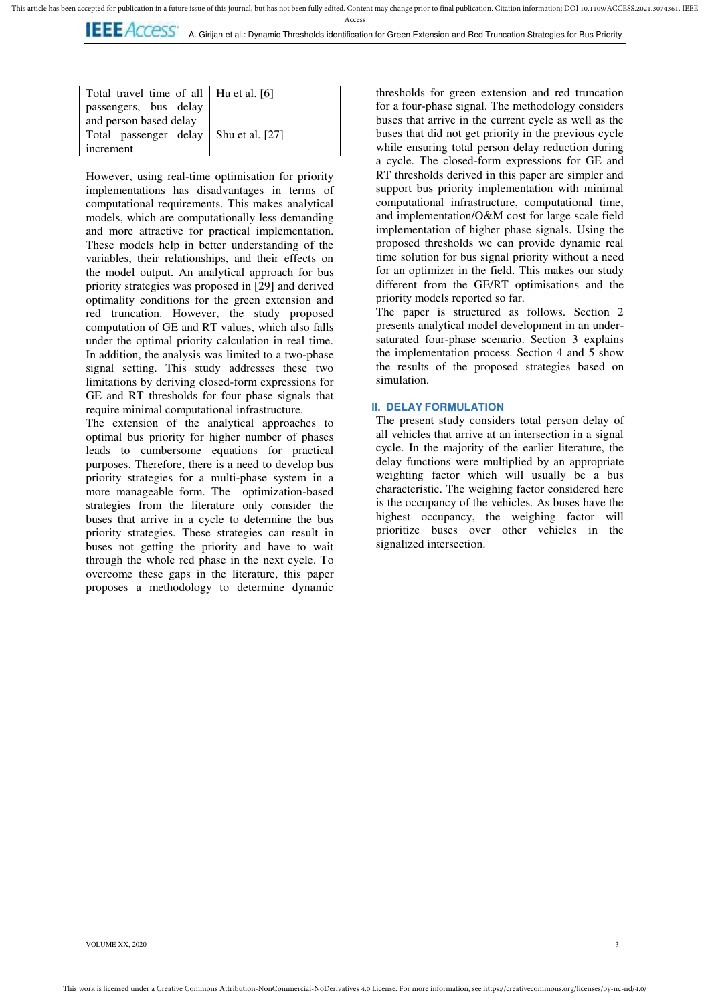**LEE** ACCESS A. Girijan et al.: Dynamic Thresholds identification for Green Extension and Red Truncation Strategies for Bus Priority

| Total travel time of all   Hu et al. [6]<br>passengers, bus delay<br>and person based delay |  |  |  |  |  |
|---------------------------------------------------------------------------------------------|--|--|--|--|--|
| Total passenger delay   Shu et al. [27]                                                     |  |  |  |  |  |
| increment                                                                                   |  |  |  |  |  |

However, using real-time optimisation for priority implementations has disadvantages in terms of computational requirements. This makes analytical models, which are computationally less demanding and more attractive for practical implementation. These models help in better understanding of the variables, their relationships, and their effects on the model output. An analytical approach for bus priority strategies was proposed in [29] and derived optimality conditions for the green extension and red truncation. However, the study proposed computation of GE and RT values, which also falls under the optimal priority calculation in real time. In addition, the analysis was limited to a two-phase signal setting. This study addresses these two limitations by deriving closed-form expressions for GE and RT thresholds for four phase signals that require minimal computational infrastructure.

The extension of the analytical approaches to optimal bus priority for higher number of phases leads to cumbersome equations for practical purposes. Therefore, there is a need to develop bus priority strategies for a multi-phase system in a more manageable form. The optimization-based strategies from the literature only consider the buses that arrive in a cycle to determine the bus priority strategies. These strategies can result in buses not getting the priority and have to wait through the whole red phase in the next cycle. To overcome these gaps in the literature, this paper proposes a methodology to determine dynamic

thresholds for green extension and red truncation for a four-phase signal. The methodology considers buses that arrive in the current cycle as well as the buses that did not get priority in the previous cycle while ensuring total person delay reduction during a cycle. The closed-form expressions for GE and RT thresholds derived in this paper are simpler and support bus priority implementation with minimal computational infrastructure, computational time, and implementation/O&M cost for large scale field implementation of higher phase signals. Using the proposed thresholds we can provide dynamic real time solution for bus signal priority without a need for an optimizer in the field. This makes our study different from the GE/RT optimisations and the priority models reported so far.

The paper is structured as follows. Section 2 presents analytical model development in an undersaturated four-phase scenario. Section 3 explains the implementation process. Section 4 and 5 show the results of the proposed strategies based on simulation.

## **II. DELAY FORMULATION**

The present study considers total person delay of all vehicles that arrive at an intersection in a signal cycle. In the majority of the earlier literature, the delay functions were multiplied by an appropriate weighting factor which will usually be a bus characteristic. The weighing factor considered here is the occupancy of the vehicles. As buses have the highest occupancy, the weighing factor will prioritize buses over other vehicles in the signalized intersection.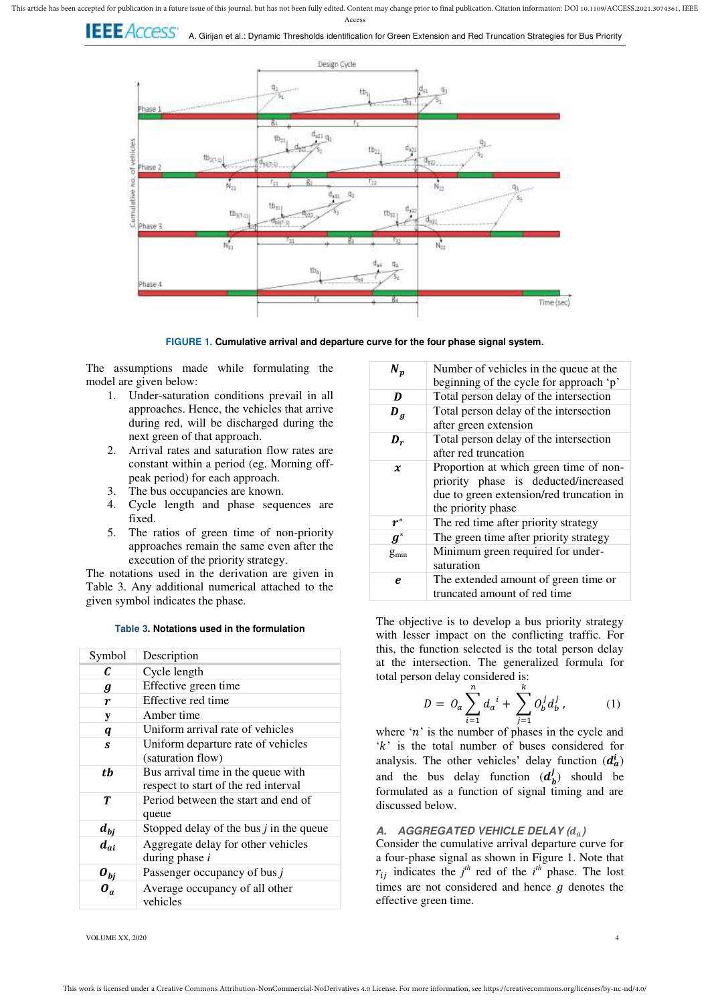



**FIGURE 1. Cumulative arrival and departure curve for the four phase signal system.** 

The assumptions made while formulating the model are given below:

- 1. Under-saturation conditions prevail in all approaches. Hence, the vehicles that arrive during red, will be discharged during the next green of that approach.
- 2. Arrival rates and saturation flow rates are constant within a period (eg. Morning offpeak period) for each approach.
- 3. The bus occupancies are known.
- 4. Cycle length and phase sequences are fixed.
- 5. The ratios of green time of non-priority approaches remain the same even after the execution of the priority strategy.

The notations used in the derivation are given in Table 3. Any additional numerical attached to the given symbol indicates the phase.

**Table 3. Notations used in the formulation** 

| Symbol                | Description                                                                |
|-----------------------|----------------------------------------------------------------------------|
| C                     | Cycle length                                                               |
| g                     | Effective green time                                                       |
| r                     | Effective red time                                                         |
| y                     | Amber time                                                                 |
| $\boldsymbol{q}$      | Uniform arrival rate of vehicles                                           |
| S                     | Uniform departure rate of vehicles<br>(saturation flow)                    |
| tb                    | Bus arrival time in the queue with<br>respect to start of the red interval |
| T                     | Period between the start and end of<br>queue                               |
| $d_{bj}$              | Stopped delay of the bus $j$ in the queue                                  |
| $d_{ai}$              | Aggregate delay for other vehicles<br>during phase $i$                     |
| $\boldsymbol{o}_{bj}$ | Passenger occupancy of bus $j$                                             |
| $\boldsymbol{0}_a$    | Average occupancy of all other<br>vehicles                                 |

| $N_p$              | Number of vehicles in the queue at the<br>beginning of the cycle for approach 'p'                                                                |
|--------------------|--------------------------------------------------------------------------------------------------------------------------------------------------|
| D                  | Total person delay of the intersection                                                                                                           |
| $\bm{D}_q$         | Total person delay of the intersection<br>after green extension                                                                                  |
| $\bm{D}_r$         | Total person delay of the intersection<br>after red truncation                                                                                   |
| $\boldsymbol{x}$   | Proportion at which green time of non-<br>priority phase is deducted/increased<br>due to green extension/red truncation in<br>the priority phase |
| $\boldsymbol{r}^*$ | The red time after priority strategy                                                                                                             |
| $\boldsymbol{g}^*$ | The green time after priority strategy                                                                                                           |
| $g_{min}$          | Minimum green required for under-<br>saturation                                                                                                  |
| e                  | The extended amount of green time or<br>truncated amount of red time                                                                             |

The objective is to develop a bus priority strategy with lesser impact on the conflicting traffic. For this, the function selected is the total person delay at the intersection. The generalized formula for total person delay considered is:

$$
D = O_a \sum_{i=1}^{n} d_a^{i} + \sum_{j=1}^{k} O_b^{j} d_b^{j}, \qquad (1)
$$

where  $n'$  is the number of phases in the cycle and  $k'$  is the total number of buses considered for analysis. The other vehicles' delay function  $(d_a^i)$ and the bus delay function  $(d_b^j)$  should be formulated as a function of signal timing and are discussed below.

## **A. AGGREGATED VEHICLE DELAY ( )**

Consider the cumulative arrival departure curve for a four-phase signal as shown in Figure 1. Note that  $r_{ij}$  indicates the *j*<sup>th</sup> red of the *i*<sup>th</sup> phase. The lost times are not considered and hence  $q$  denotes the effective green time.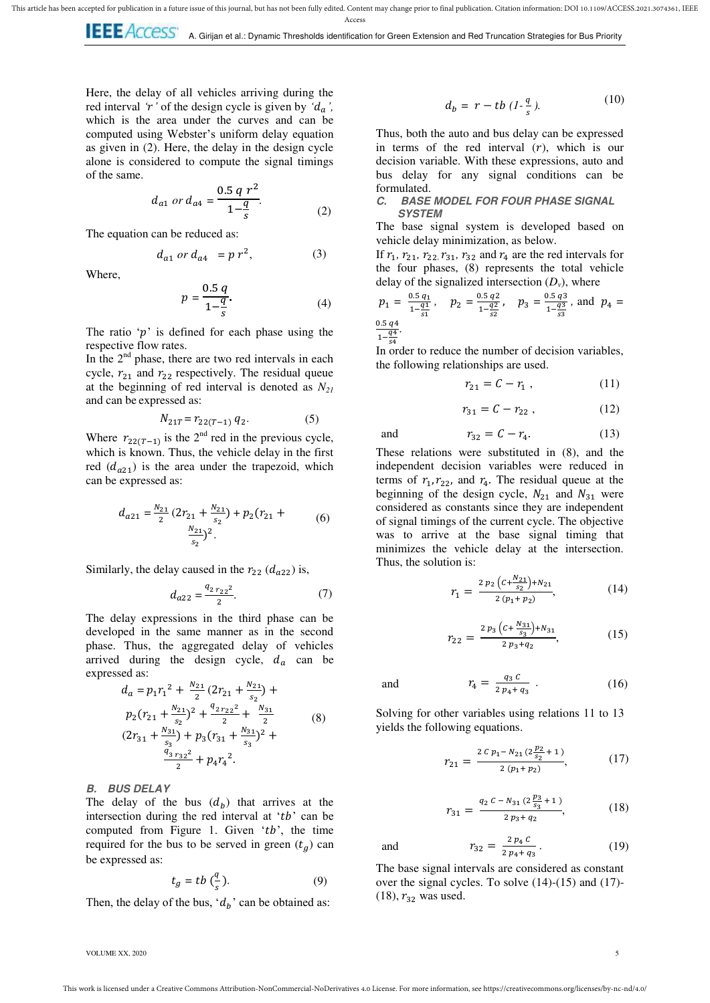Here, the delay of all vehicles arriving during the red interval *'r'* of the design cycle is given by  $d_a$ , which is the area under the curves and can be computed using Webster's uniform delay equation as given in (2). Here, the delay in the design cycle alone is considered to compute the signal timings of the same.

$$
d_{a1} \text{ or } d_{a4} = \frac{0.5 \text{ q } r^2}{1 - \frac{q}{s}}.
$$
 (2)

The equation can be reduced as:

$$
d_{a1} \text{ or } d_{a4} = p r^2, \tag{3}
$$

Where,

$$
p = \frac{0.5 \, q}{1 - \frac{q}{s}}.\tag{4}
$$

The ratio  $\hat{p}$  is defined for each phase using the respective flow rates.

In the  $2<sup>nd</sup>$  phase, there are two red intervals in each cycle,  $r_{21}$  and  $r_{22}$  respectively. The residual queue at the beginning of red interval is denoted as *N<sup>21</sup>* and can be expressed as:

$$
N_{21T} = r_{22(T-1)} q_2. \tag{5}
$$

Where  $r_{22(T-1)}$  is the 2<sup>nd</sup> red in the previous cycle, which is known. Thus, the vehicle delay in the first red  $(d_{q21})$  is the area under the trapezoid, which can be expressed as:

$$
d_{a21} = \frac{N_{21}}{2} \left( 2r_{21} + \frac{N_{21}}{s_2} \right) + p_2(r_{21} + \dots)
$$
\n
$$
\frac{N_{21}}{s_2} \bigg)^2.
$$
\n
$$
(6)
$$

Similarly, the delay caused in the  $r_{22}$  ( $d_{q22}$ ) is,

$$
d_{a22} = \frac{q_{2\,r_{22}^2}}{2}.\tag{7}
$$

The delay expressions in the third phase can be developed in the same manner as in the second phase. Thus, the aggregated delay of vehicles arrived during the design cycle,  $d_a$  can be expressed as:

$$
d_a = p_1 r_1^2 + \frac{N_{21}}{2} (2r_{21} + \frac{N_{21}}{s_2}) +
$$
  
\n
$$
p_2 (r_{21} + \frac{N_{21}}{s_2})^2 + \frac{q_{2r_{22}}^2}{2} + \frac{N_{31}}{2}
$$
  
\n
$$
(2r_{31} + \frac{N_{31}}{s_3}) + p_3 (r_{31} + \frac{N_{31}}{s_3})^2 +
$$
  
\n
$$
\frac{q_{3r_{32}}^2}{2} + p_4 r_4^2.
$$
 (8)

## **B. BUS DELAY**

The delay of the bus  $(d_b)$  that arrives at the intersection during the red interval at  $'tb'$  can be computed from Figure 1. Given ' $tb$ ', the time required for the bus to be served in green  $(t_a)$  can be expressed as:

$$
t_g = tb\left(\frac{q}{s}\right). \tag{9}
$$

Then, the delay of the bus,  $d_h$ ' can be obtained as:

$$
d_b = r - tb \left(1 - \frac{q}{s}\right). \tag{10}
$$

Thus, both the auto and bus delay can be expressed in terms of the red interval  $(r)$ , which is our decision variable. With these expressions, auto and bus delay for any signal conditions can be formulated.

## **C. BASE MODEL FOR FOUR PHASE SIGNAL SYSTEM**

The base signal system is developed based on vehicle delay minimization, as below.

If  $r_1$ ,  $r_{21}$ ,  $r_{22}$ ,  $r_{31}$ ,  $r_{32}$  and  $r_4$  are the red intervals for the four phases, (8) represents the total vehicle delay of the signalized intersection  $(D_v)$ , where

$$
p_1 = \frac{0.5 q_1}{1 - \frac{q_1}{s_1}}, \quad p_2 = \frac{0.5 q_2}{1 - \frac{q_2}{s_2}}, \quad p_3 = \frac{0.5 q_3}{1 - \frac{q_3}{s_3}}, \text{ and } p_4 = \frac{0.5 q_4}{1 - \frac{q_4}{s_3}}.
$$

 $1-\frac{3}{5}$ 

and

In order to reduce the number of decision variables, the following relationships are used.

$$
r_{21} = C - r_1 \,, \tag{11}
$$

$$
r_{31}=C-r_{22}\;,\quad \ \hspace{3cm} (12)
$$

$$
r_{32} = C - r_4. \tag{13}
$$

These relations were substituted in (8), and the independent decision variables were reduced in terms of  $r_1, r_{22}$ , and  $r_4$ . The residual queue at the beginning of the design cycle,  $N_{21}$  and  $N_{31}$  were considered as constants since they are independent of signal timings of the current cycle. The objective was to arrive at the base signal timing that minimizes the vehicle delay at the intersection. Thus, the solution is:

$$
r_1 = \frac{2 p_2 \left( C + \frac{N_{21}}{s_2} \right) + N_{21}}{2 \left( p_1 + p_2 \right)},\tag{14}
$$

$$
r_{22} = \frac{2 p_3 \left(c + \frac{N_{31}}{s_3}\right) + N_{31}}{2 p_3 + q_2},\tag{15}
$$

and q  $\overline{\mathbf{c}}$ . (16)

Solving for other variables using relations 11 to 13 yields the following equations.

$$
r_{21} = \frac{2 c p_1 - N_{21} (2 \frac{p_2}{s_2} + 1)}{2 (p_1 + p_2)},
$$
 (17)

$$
r_{31} = \frac{q_2 C - N_{31} (2 \frac{p_3}{s_3} + 1)}{2 p_3 + q_2},
$$
 (18)

and  $\overline{a}$  $\overline{\mathbf{c}}$  $(19)$ 

The base signal intervals are considered as constant over the signal cycles. To solve (14)-(15) and (17)-  $(18)$ ,  $r_{32}$  was used.

VOLUME XX, 2020 5 and the state of the state of the state of the state of the state of the state of the state of the state of the state of the state of the state of the state of the state of the state of the state of the s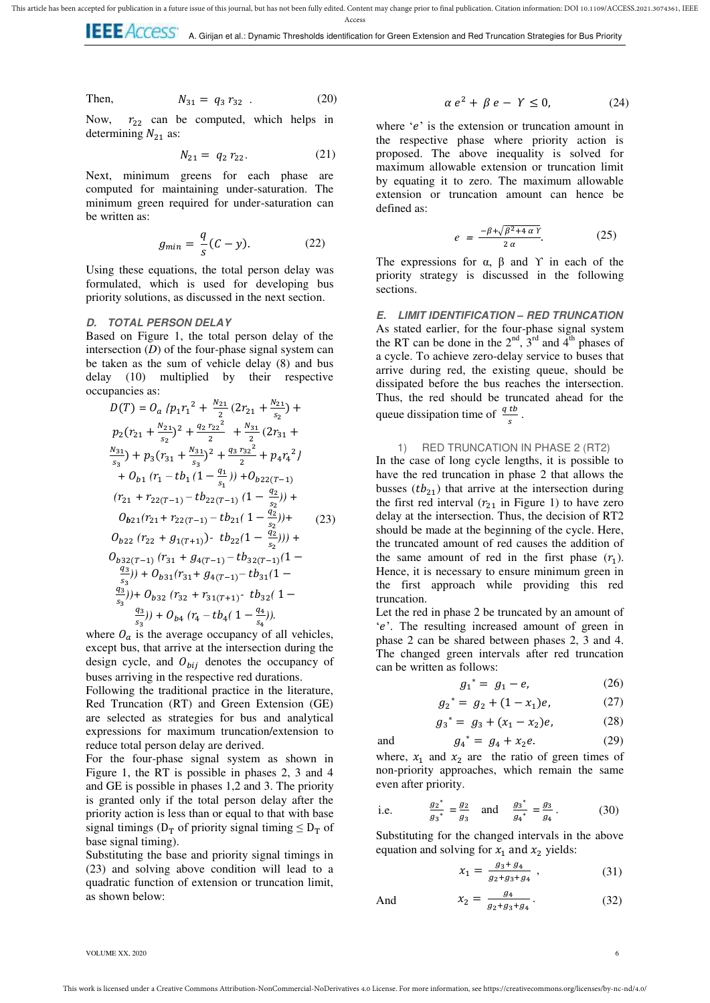Access **LEE ACCESS** A. Girijan et al.: Dynamic Thresholds identification for Green Extension and Red Truncation Strategies for Bus Priority

Then,

 $N_{31} = q_3 r_{32}$  (20) Now,  $r_{22}$  can be computed, which helps in

determining  $N_{21}$  as:

$$
N_{21} = q_2 r_{22}.
$$
 (21)

Next, minimum greens for each phase are computed for maintaining under-saturation. The minimum green required for under-saturation can be written as:

$$
g_{min} = \frac{q}{s}(C - y). \tag{22}
$$

Using these equations, the total person delay was formulated, which is used for developing bus priority solutions, as discussed in the next section.

## **D. TOTAL PERSON DELAY**

Based on Figure 1, the total person delay of the intersection (*D*) of the four-phase signal system can be taken as the sum of vehicle delay (8) and bus delay (10) multiplied by their respective occupancies as:

$$
D(T) = O_a \left\{ p_1 r_1^2 + \frac{N_{21}}{2} (2r_{21} + \frac{N_{21}}{s_2}) + p_2 (r_{21} + \frac{N_{21}}{s_2})^2 + \frac{q_2 r_{22}^2}{2} + \frac{N_{31}}{2} (2r_{31} + \frac{N_{31}}{s_3}) + p_3 (r_{31} + \frac{N_{31}}{s_3})^2 + \frac{q_3 r_{32}^2}{2} + p_4 r_4^2 \right\}
$$
  
+  $O_{b1} (r_1 - t b_1 (1 - \frac{q_1}{s_1})) + O_{b22(T-1)}$   
 $(r_{21} + r_{22(T-1)} - t b_{22(T-1)} (1 - \frac{q_2}{s_2})) + O_{b21}(r_{21} + r_{22(T-1)} - t b_{21} (1 - \frac{q_2}{s_2})) + O_{b22} (r_{22} + g_{1(T+1)}) - t b_{22} (1 - \frac{q_2}{s_2})) + O_{b32(T-1)} (r_{31} + g_{4(T-1)} - t b_{32(T-1)} (1 - \frac{q_3}{s_3})) + O_{b31}(r_{31} + g_{4(T-1)} - t b_{31} (1 - \frac{q_3}{s_3})) + O_{b32} (r_{32} + r_{31(T+1)} - t b_{32} (1 - \frac{q_3}{s_3})) + O_{b4} (r_4 - t b_4 (1 - \frac{q_4}{s_4})).$ 

where  $O_a$  is the average occupancy of all vehicles, except bus, that arrive at the intersection during the design cycle, and  $O_{bij}$  denotes the occupancy of buses arriving in the respective red durations.

Following the traditional practice in the literature, Red Truncation (RT) and Green Extension (GE) are selected as strategies for bus and analytical expressions for maximum truncation/extension to reduce total person delay are derived.

For the four-phase signal system as shown in Figure 1, the RT is possible in phases 2, 3 and 4 and GE is possible in phases 1,2 and 3. The priority is granted only if the total person delay after the priority action is less than or equal to that with base signal timings ( $D_T$  of priority signal timing  $\leq D_T$  of base signal timing).

Substituting the base and priority signal timings in (23) and solving above condition will lead to a quadratic function of extension or truncation limit, as shown below:

$$
\alpha\,e^2+\,\beta\,e-\,\varUpsilon\leq 0,\qquad \qquad (24)
$$

where  $'e'$  is the extension or truncation amount in the respective phase where priority action is proposed. The above inequality is solved for maximum allowable extension or truncation limit by equating it to zero. The maximum allowable extension or truncation amount can hence be defined as:

$$
e = \frac{-\beta + \sqrt{\beta^2 + 4\alpha Y}}{2\alpha}.
$$
 (25)

The expressions for  $\alpha$ ,  $\beta$  and  $\gamma$  in each of the priority strategy is discussed in the following sections.

**E. LIMIT IDENTIFICATION** *–* **RED TRUNCATION**  As stated earlier, for the four-phase signal system the RT can be done in the  $2<sup>nd</sup>$ ,  $3<sup>rd</sup>$  and  $4<sup>th</sup>$  phases of a cycle. To achieve zero-delay service to buses that arrive during red, the existing queue, should be dissipated before the bus reaches the intersection. Thus, the red should be truncated ahead for the queue dissipation time of  $\frac{q}{s}$ .

1) RED TRUNCATION IN PHASE 2 (RT2) In the case of long cycle lengths, it is possible to have the red truncation in phase 2 that allows the busses  $(tb<sub>21</sub>)$  that arrive at the intersection during the first red interval  $(r_{21}$  in Figure 1) to have zero delay at the intersection. Thus, the decision of RT2 should be made at the beginning of the cycle. Here, the truncated amount of red causes the addition of the same amount of red in the first phase  $(r_1)$ . Hence, it is necessary to ensure minimum green in the first approach while providing this red truncation.

Let the red in phase 2 be truncated by an amount of 'e'. The resulting increased amount of green in phase 2 can be shared between phases 2, 3 and 4. The changed green intervals after red truncation can be written as follows:

$$
g_1^* = g_1 - e,\t\t(26)
$$

$$
g_2^* = g_2 + (1 - x_1)e, \tag{27}
$$

$$
g_3^* = g_3 + (x_1 - x_2)e,\tag{28}
$$

$$
g_4^* = g_4 + x_2 e. \tag{29}
$$

where,  $x_1$  and  $x_2$  are the ratio of green times of non-priority approaches, which remain the same even after priority.

i.e. 
$$
\frac{g_2^*}{g_3^*} = \frac{g_2}{g_3}
$$
 and  $\frac{g_3^*}{g_4^*} = \frac{g_3}{g_4}$ . (30)

Substituting for the changed intervals in the above equation and solving for  $x_1$  and  $x_2$  yields:

$$
x_1 = \frac{g_3 + g_4}{g_2 + g_3 + g_4} \,, \tag{31}
$$

And 
$$
x_2 = \frac{g_4}{g_2 + g_3 + g_4}
$$
. (32)

VOLUME XX, 2020 6

and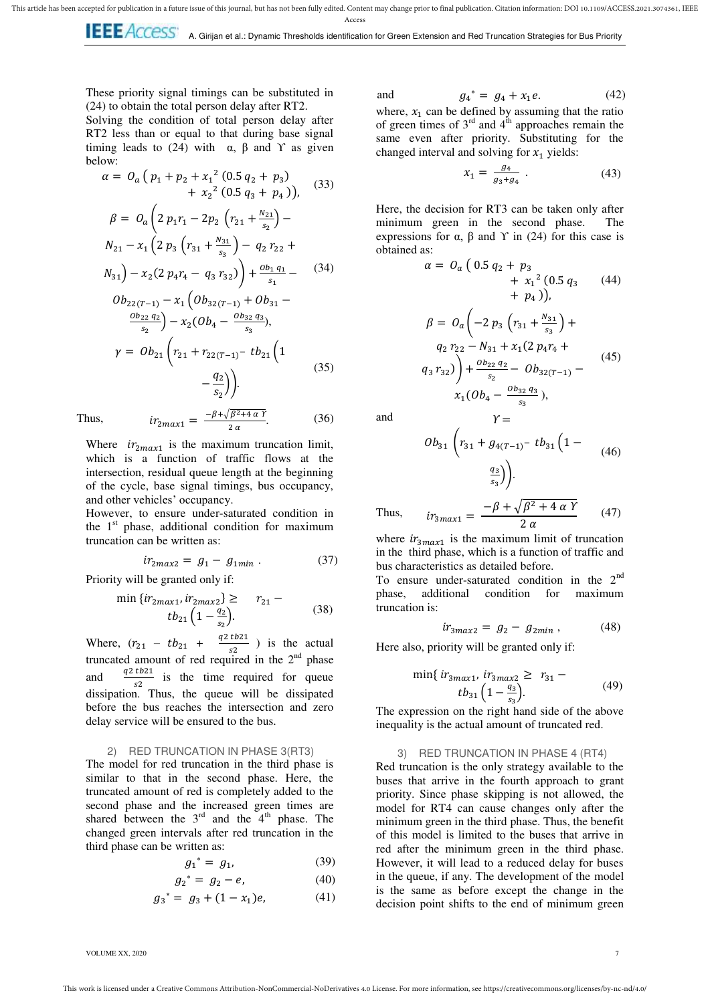**LEE ACCESS** A. Girijan et al.: Dynamic Thresholds identification for Green Extension and Red Truncation Strategies for Bus Priority

These priority signal timings can be substituted in (24) to obtain the total person delay after RT2.

Solving the condition of total person delay after RT2 less than or equal to that during base signal timing leads to (24) with  $\alpha$ ,  $\beta$  and  $\gamma$  as given below:

$$
\alpha = O_a (p_1 + p_2 + x_1^2 (0.5 q_2 + p_3) + x_2^2 (0.5 q_3 + p_4)),
$$
 (33)  

$$
\beta = O_a \left( 2 p_1 r_1 - 2 p_2 (r_{21} + \frac{N_{21}}{s_2}) - N_{21} - x_1 (2 p_3 (r_{31} + \frac{N_{31}}{s_3}) - q_2 r_{22} +
$$

$$
N_{31}\bigg) - x_2 (2 p_4 r_4 - q_3 r_{32}) \bigg) + \frac{a_{b_1 q_1}}{s_1} - \qquad (34)
$$

$$
Ob_{22(T-1)} - x_1 (Ob_{32(T-1)} + Ob_{31} - \frac{ob_{22} q_2}{s_2}) - x_2 (Ob_4 - \frac{ob_{32} q_3}{s_3}),
$$
  
\n
$$
\gamma = Ob_{21} \left( r_{21} + r_{22(T-1)} - tb_{21} \left( 1 - \frac{q_2}{s_2} \right) \right).
$$
\n(35)

 $-\beta + \sqrt{\beta}$  $\overline{z}$ 

Thus,

Where  $ir_{2max1}$  is the maximum truncation limit, which is a function of traffic flows at the intersection, residual queue length at the beginning of the cycle, base signal timings, bus occupancy, and other vehicles' occupancy.

However, to ensure under-saturated condition in the  $1<sup>st</sup>$  phase, additional condition for maximum truncation can be written as:

$$
ir_{2max2} = g_1 - g_{1min} \tag{37}
$$

Priority will be granted only if:

 $\overline{r}$ 

$$
\sin\left\{ir_{2max1}, ir_{2max2}\right\} \geq r_{21} - t b_{21} \left(1 - \frac{q_2}{s_2}\right).
$$
 (38)

Where,  $(r_{21} - tb_{21} + \frac{q}{r})$  $\frac{1621}{s^2}$ ) is the actual truncated amount of red required in the  $2<sup>nd</sup>$  phase and dissipation. Thus, the queue will be dissipated  $\frac{q^2 t b^2 1}{r^2}$  is the time required for queue before the bus reaches the intersection and zero delay service will be ensured to the bus.

#### 2) RED TRUNCATION IN PHASE 3(RT3)

The model for red truncation in the third phase is similar to that in the second phase. Here, the truncated amount of red is completely added to the second phase and the increased green times are shared between the  $3<sup>rd</sup>$  and the  $4<sup>th</sup>$  phase. The changed green intervals after red truncation in the third phase can be written as:

$$
g_1^* = g_1,\tag{39}
$$

$$
g_2^* = g_2 - e,\t\t(40)
$$

$$
g_3^* = g_3 + (1 - x_1)e,\tag{41}
$$

and  $g_4^* = g_4 + x_1 e.$  (42) where,  $x_1$  can be defined by assuming that the ratio of green times of  $3<sup>rd</sup>$  and  $4<sup>th</sup>$  approaches remain the same even after priority. Substituting for the

changed interval and solving for  $x_1$  yields:

$$
x_1 = \frac{g_4}{g_3 + g_4} \tag{43}
$$

Here, the decision for RT3 can be taken only after minimum green in the second phase. The expressions for α,  $β$  and  $Y$  in (24) for this case is obtained as:

$$
\alpha = O_a (0.5 q_2 + p_3 + x_1^2 (0.5 q_3 + (44) + p_4)),
$$
\n
$$
= O_a \left( -2 p_3 \left( r_{31} + \frac{N_{31}}{s_3} \right) + q_2 r_{22} - N_{31} + x_1 (2 p_4 r_4 + q_3 r_{32}) \right) + \frac{Ob_{22} q_2}{s_2} - Ob_{32(T-1)} - x_1 (Ob_4 - \frac{Ob_{32} q_3}{s_3}),
$$
\n(45)

and

 $(36)$ 

$$
Ob_{31}\left(r_{31}+g_{4(T-1)}-tb_{31}\left(1-\frac{q_3}{s_3}\right)\right).
$$
 (46)

Thus, 
$$
ir_{3max1} = \frac{-\beta + \sqrt{\beta^2 + 4 \alpha Y}}{2 \alpha}
$$
 (47)

 $\gamma =$ 

where  $ir_{3max1}$  is the maximum limit of truncation in the third phase, which is a function of traffic and bus characteristics as detailed before.

To ensure under-saturated condition in the 2<sup>nd</sup> phase, additional condition for maximum truncation is:

$$
ir_{3max2} = g_2 - g_{2min} \,, \tag{48}
$$

Here also, priority will be granted only if:

$$
\min\{i r_{3max1}, i r_{3max2} \ge r_{31} - t b_{31} \left(1 - \frac{q_3}{s_2}\right). \tag{49}
$$

The expression on the right hand side of the above inequality is the actual amount of truncated red.

## 3) RED TRUNCATION IN PHASE 4 (RT4)

Red truncation is the only strategy available to the buses that arrive in the fourth approach to grant priority. Since phase skipping is not allowed, the model for RT4 can cause changes only after the minimum green in the third phase. Thus, the benefit of this model is limited to the buses that arrive in red after the minimum green in the third phase. However, it will lead to a reduced delay for buses in the queue, if any. The development of the model is the same as before except the change in the decision point shifts to the end of minimum green

VOLUME XX, 2020 7 and 2021 7 and 2021 7 and 2021 7 and 2021 7 and 2021 7 and 2021 7 and 2021 7 and 2021 7 and 2021 7 and 2021 7 and 2021 7 and 2021 7 and 2021 7 and 2021 7 and 2021 7 and 2021 7 and 2021 7 and 2021 7 and 20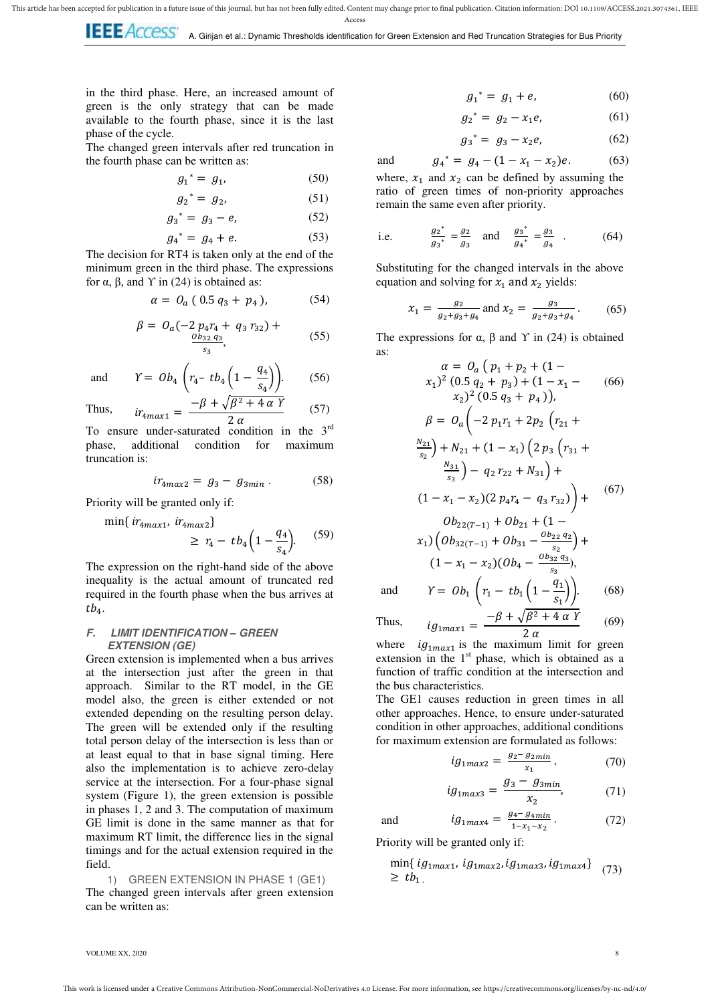**LEE** ACCESS A. Girijan et al.: Dynamic Thresholds identification for Green Extension and Red Truncation Strategies for Bus Priority

and

in the third phase. Here, an increased amount of green is the only strategy that can be made available to the fourth phase, since it is the last phase of the cycle.

The changed green intervals after red truncation in the fourth phase can be written as:

 $\overline{\phantom{a}}$ 

$$
g_1^* = g_1,\tag{50}
$$

$$
g_2^* = g_2,\tag{51}
$$

$$
g_3^* = g_3 - e,\t\t(52)
$$

$$
g_4^* = g_4 + e. \t\t(53)
$$

The decision for RT4 is taken only at the end of the minimum green in the third phase. The expressions for α, β, and  $\Upsilon$  in (24) is obtained as:

$$
\alpha = \, O_a \, (\, 0.5 \, q_3 + \, p_4 \, ), \qquad \quad \ \ (54)
$$

$$
\beta = O_a(-2 p_4 r_4 + q_3 r_{32}) + \underbrace{\frac{Ob_{32} q_3}{s_3}}_{s_3}, \tag{55}
$$

and 
$$
Y = Ob_4 \left( r_4 - t b_4 \left( 1 - \frac{q_4}{s_4} \right) \right)
$$
. (56)

Thus, 
$$
ir_{4max1} = \frac{-\beta + \sqrt{\beta^2 + 4 \alpha Y}}{2 \alpha}
$$
 (57)

To ensure under-saturated condition in the 3<sup>rd</sup> phase, additional condition for maximum truncation is:

$$
ir_{4max2} = g_3 - g_{3min} \tag{58}
$$

Priority will be granted only if:

 $\min\{tr_{4max1}, tr_{4max2}\}$ 

$$
\geq r_4 - t b_4 \left(1 - \frac{q_4}{s_4}\right). \tag{59}
$$

The expression on the right-hand side of the above inequality is the actual amount of truncated red required in the fourth phase when the bus arrives at  $tb_4.$ 

## **F. LIMIT IDENTIFICATION** *–* **GREEN EXTENSION (GE)**

Green extension is implemented when a bus arrives at the intersection just after the green in that approach. Similar to the RT model, in the GE model also, the green is either extended or not extended depending on the resulting person delay. The green will be extended only if the resulting total person delay of the intersection is less than or at least equal to that in base signal timing. Here also the implementation is to achieve zero-delay service at the intersection. For a four-phase signal system (Figure 1), the green extension is possible in phases 1, 2 and 3. The computation of maximum GE limit is done in the same manner as that for maximum RT limit, the difference lies in the signal timings and for the actual extension required in the field.

1) GREEN EXTENSION IN PHASE 1 (GE1) The changed green intervals after green extension can be written as:

 $g_1^* = g_1 + e,$  (60)

$$
g_2^* = g_2 - x_1 e, \tag{61}
$$

$$
g_3^* = g_3 - x_2 e, \t\t(62)
$$

$$
g_4^* = g_4 - (1 - x_1 - x_2)e. \tag{63}
$$

where,  $x_1$  and  $x_2$  can be defined by assuming the ratio of green times of non-priority approaches remain the same even after priority.

i.e. 
$$
\frac{g_2^*}{g_3^*} = \frac{g_2}{g_3}
$$
 and  $\frac{g_3^*}{g_4^*} = \frac{g_3}{g_4}$ . (64)

Substituting for the changed intervals in the above equation and solving for  $x_1$  and  $x_2$  yields:

$$
x_1 = \frac{g_2}{g_2 + g_3 + g_4} \text{ and } x_2 = \frac{g_3}{g_2 + g_3 + g_4} \,. \tag{65}
$$

The expressions for  $\alpha$ ,  $\beta$  and  $\gamma$  in (24) is obtained as:

$$
\alpha = O_a (p_1 + p_2 + (1 -
$$
  
\n
$$
x_1)^2 (0.5 q_2 + p_3) + (1 - x_1 - (66)
$$
  
\n
$$
x_2)^2 (0.5 q_3 + p_4),
$$
  
\n
$$
\beta = O_a \left(-2 p_1 r_1 + 2 p_2 (r_{21} +
$$
  
\n
$$
\frac{N_{21}}{s_2}\right) + N_{21} + (1 - x_1) \left(2 p_3 (r_{31} +
$$
  
\n
$$
\frac{N_{31}}{s_3}\right) - q_2 r_{22} + N_{31}\right) +
$$
  
\n
$$
(1 - x_1 - x_2) (2 p_4 r_4 - q_3 r_{32}) + (67)
$$
  
\n
$$
Ob_{22(T-1)} + Ob_{21} + (1 -
$$
  
\n
$$
x_1) \left(Ob_{32(T-1)} + Ob_{31} - \frac{Ob_{22} q_2}{s_2}\right) +
$$
  
\n
$$
(1 - x_1 - x_2) (Ob_4 - \frac{Ob_{32} q_3}{s_3}),
$$
  
\nand 
$$
Y = Ob_1 \left(r_1 - t b_1 \left(1 - \frac{q_1}{s_1}\right)\right).
$$
  
\n
$$
ig_{1max1} = \frac{-\beta + \sqrt{\beta^2 + 4 \alpha Y}}{3 \alpha}
$$
  
\n(69)

Thus,

and

where  $ig_{1max1}$  is the maximum limit for green extension in the  $1<sup>st</sup>$  phase, which is obtained as a function of traffic condition at the intersection and the bus characteristics.

 $\frac{2\alpha}{2}$ 

The GE1 causes reduction in green times in all other approaches. Hence, to ensure under-saturated condition in other approaches, additional conditions for maximum extension are formulated as follows:

$$
ig_{1max2} = \frac{g_2 - g_{2min}}{x_1},\tag{70}
$$

$$
ig_{1max3} = \frac{g_3 - g_{3min}}{x_2},
$$
 (71)

$$
ig_{1max4} = \frac{g_4 - g_{4min}}{1 - x_1 - x_2} \,. \tag{72}
$$

Priority will be granted only if:

$$
\min\{ig_{1max1}, ig_{1max2}, ig_{1max3}, ig_{1max4}\} \quad (73)
$$
\n
$$
\geq tb_1
$$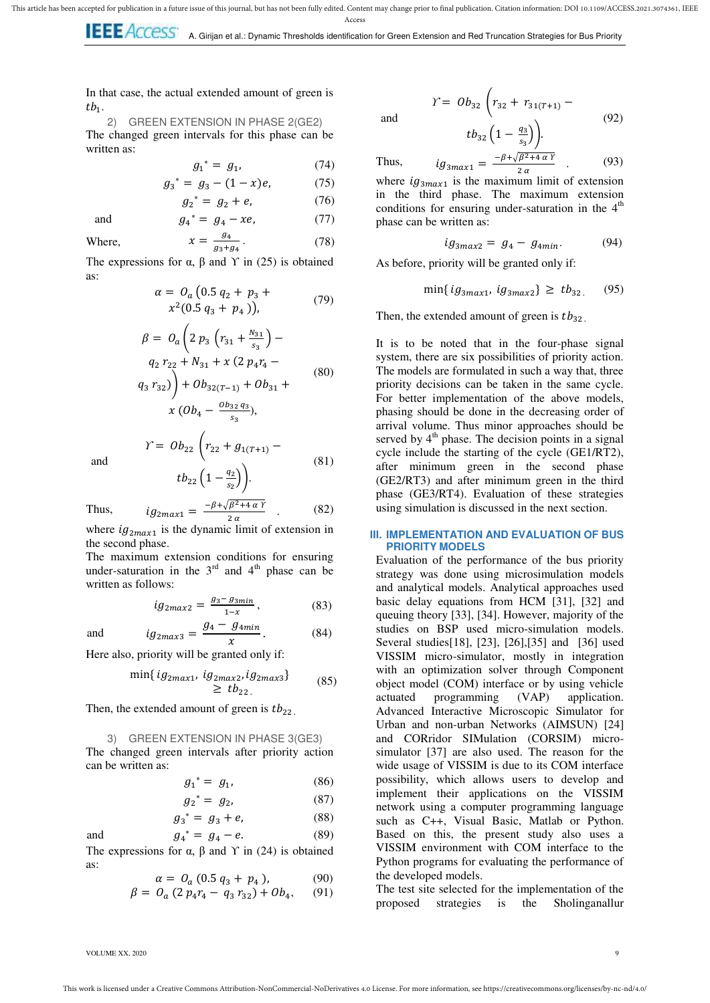In that case, the actual extended amount of green is  $tb_1$ .

2) GREEN EXTENSION IN PHASE 2(GE2) The changed green intervals for this phase can be written as:

 $\overline{g}$ 

$$
g_1^* = g_1, \tag{74}
$$

$$
a^* = g_3 - (1 - x)e,\t(75)
$$

$$
g_2^* = g_2 + e,
$$
 (76)  

$$
g_4^* = g_4 - xe,
$$
 (77)

and

Where, 
$$
x = \frac{g_4}{g_3 + g_4}.
$$
 (78)

The expressions for  $\alpha$ ,  $\beta$  and  $\gamma$  in (25) is obtained as:

$$
\alpha = O_a (0.5 q_2 + p_3 +\n x^2 (0.5 q_3 + p_4)), \tag{79}
$$

$$
\beta = O_a \left( 2 p_3 \left( r_{31} + \frac{N_{31}}{s_3} \right) - q_2 r_{22} + N_{31} + x (2 p_4 r_4 - 80) \right)
$$
\n
$$
(80)
$$

$$
\left( q_3 \, r_{32} \right) + Ob_{32(T-1)} + Ob_{31} + \cdots
$$
\n
$$
x \, (Ob_4 - \frac{Ob_{32} \, q_3}{s_3}),
$$

(81)

. (82)

(84)

and

Thus,

$$
tb_{22}\left(1-\frac{q_2}{s_2}\right).
$$

$$
ig_{2max1} = \frac{-\beta + \sqrt{\beta^2 + 4\alpha Y}}{2\alpha}.
$$

 $\gamma = Ob_{22}$  |  $r_1$ 

where  $ig_{2max1}$  is the dynamic limit of extension in the second phase.

The maximum extension conditions for ensuring under-saturation in the  $3<sup>rd</sup>$  and  $4<sup>th</sup>$  phase can be written as follows:

 $\mathcal{G}$ 

$$
ig_{2max2} = \frac{g_3 - g_{3min}}{1 - x}, \tag{83}
$$

and

and

 $\chi$ Here also, priority will be granted only if:

$$
\min\{ig_{2max1}, ig_{2max2}, ig_{2max3}\}\n \geq tb_{22}.\n \tag{85}
$$

Then, the extended amount of green is  $tb_{22}$ .

3) GREEN EXTENSION IN PHASE 3(GE3)

The changed green intervals after priority action can be written as:

$$
g_1^* = g_1,\tag{86}
$$

$$
g_2^* = g_2, \tag{87}
$$

$$
g_3^* = g_3 + e,\t\t(88)
$$

$$
g_4^* = g_4 - e. \tag{89}
$$

The expressions for  $\alpha$ ,  $\beta$  and  $\gamma$  in (24) is obtained as:

$$
\alpha = O_a (0.5 q_3 + p_4), \tag{90}
$$

$$
\beta = O_a (2 p_4 r_4 - q_3 r_{32}) + Ob_4, \quad (91)
$$

$$
Y = Ob_{32}\left(r_{32} + r_{31(T+1)} - t_{32}\left(1 - \frac{q_3}{s_3}\right)\right).
$$
\n(92)

and

Thus,

$$
ig_{3max1} = \frac{-\beta + \sqrt{\beta^2 + 4\alpha Y}}{2\alpha} \qquad (93)
$$

where  $ig_{3max1}$  is the maximum limit of extension in the third phase. The maximum extension conditions for ensuring under-saturation in the  $4<sup>th</sup>$ phase can be written as:

$$
ig_{3max2} = g_4 - g_{4min}.\tag{94}
$$

As before, priority will be granted only if:

$$
\min\{ig_{3max1}, ig_{3max2}\} \ge tb_{32} \tag{95}
$$

Then, the extended amount of green is  $tb_{32}$ .

It is to be noted that in the four-phase signal system, there are six possibilities of priority action. The models are formulated in such a way that, three priority decisions can be taken in the same cycle. For better implementation of the above models, phasing should be done in the decreasing order of arrival volume. Thus minor approaches should be served by  $4<sup>th</sup>$  phase. The decision points in a signal cycle include the starting of the cycle (GE1/RT2), after minimum green in the second phase (GE2/RT3) and after minimum green in the third phase (GE3/RT4). Evaluation of these strategies using simulation is discussed in the next section.

## **III. IMPLEMENTATION AND EVALUATION OF BUS PRIORITY MODELS**

Evaluation of the performance of the bus priority strategy was done using microsimulation models and analytical models. Analytical approaches used basic delay equations from HCM [31], [32] and queuing theory [33], [34]. However, majority of the studies on BSP used micro-simulation models. Several studies[18], [23], [26],[35] and [36] used VISSIM micro-simulator, mostly in integration with an optimization solver through Component object model (COM) interface or by using vehicle actuated programming (VAP) application. Advanced Interactive Microscopic Simulator for Urban and non-urban Networks (AIMSUN) [24] and CORridor SIMulation (CORSIM) microsimulator [37] are also used. The reason for the wide usage of VISSIM is due to its COM interface possibility, which allows users to develop and implement their applications on the VISSIM network using a computer programming language such as C++, Visual Basic, Matlab or Python. Based on this, the present study also uses a VISSIM environment with COM interface to the Python programs for evaluating the performance of the developed models.

The test site selected for the implementation of the proposed strategies is the Sholinganallur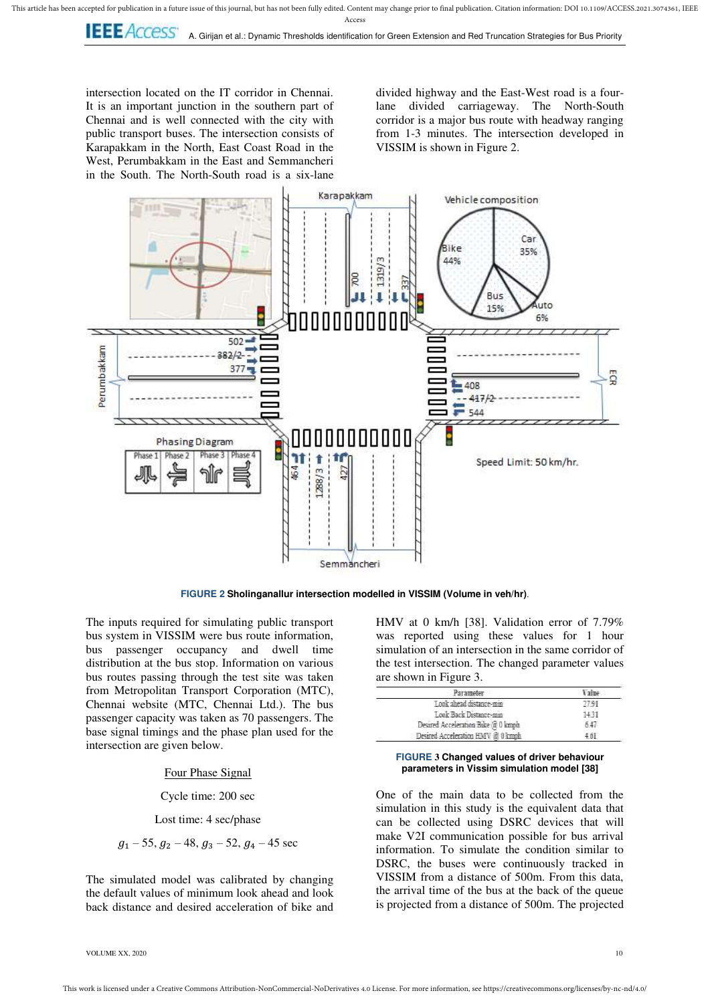**IEEE** Access A. Girijan et al.: Dynamic Thresholds identification for Green Extension and Red Truncation Strategies for Bus Priority

intersection located on the IT corridor in Chennai. It is an important junction in the southern part of Chennai and is well connected with the city with public transport buses. The intersection consists of Karapakkam in the North, East Coast Road in the West, Perumbakkam in the East and Semmancheri in the South. The North-South road is a six-lane divided highway and the East-West road is a fourlane divided carriageway. The North-South corridor is a major bus route with headway ranging from 1-3 minutes. The intersection developed in VISSIM is shown in Figure 2.



**FIGURE 2 Sholinganallur intersection modelled in VISSIM (Volume in veh/hr)**.

The inputs required for simulating public transport bus system in VISSIM were bus route information, bus passenger occupancy and dwell time distribution at the bus stop. Information on various bus routes passing through the test site was taken from Metropolitan Transport Corporation (MTC), Chennai website (MTC, Chennai Ltd.). The bus passenger capacity was taken as 70 passengers. The base signal timings and the phase plan used for the intersection are given below.

Four Phase Signal

Cycle time: 200 sec

Lost time: 4 sec/phase

$$
g_1 - 55
$$
,  $g_2 - 48$ ,  $g_3 - 52$ ,  $g_4 - 45$  sec

The simulated model was calibrated by changing the default values of minimum look ahead and look back distance and desired acceleration of bike and

HMV at 0 km/h [38]. Validation error of 7.79% was reported using these values for 1 hour simulation of an intersection in the same corridor of the test intersection. The changed parameter values are shown in Figure 3.

| Parameter                          |       |
|------------------------------------|-------|
| Look ahead distance-min            | 77.91 |
| Look Back Distance-mm              | 431   |
| Desired Acceleration Bike @ 0 kmph | 647   |
| Desired Acceleration HMV @ 0 kmph  | -61   |

#### **FIGURE 3 Changed values of driver behaviour parameters in Vissim simulation model [38]**

One of the main data to be collected from the simulation in this study is the equivalent data that can be collected using DSRC devices that will make V2I communication possible for bus arrival information. To simulate the condition similar to DSRC, the buses were continuously tracked in VISSIM from a distance of 500m. From this data, the arrival time of the bus at the back of the queue is projected from a distance of 500m. The projected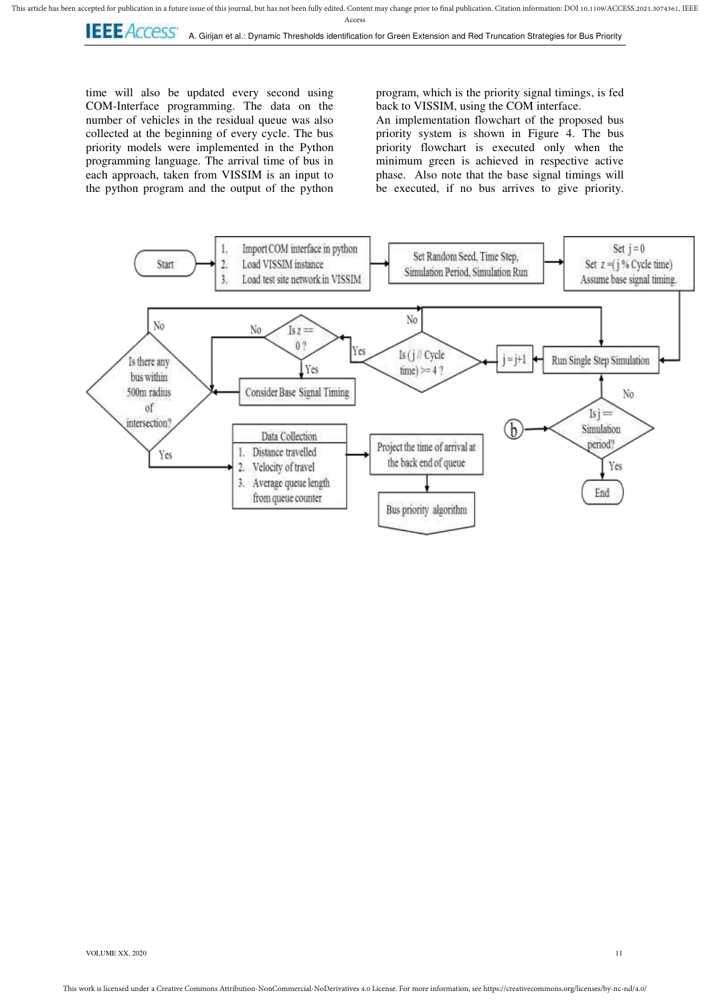**LEE** ACCESS<sup>\*</sup> A. Girijan et al.: Dynamic Thresholds identification for Green Extension and Red Truncation Strategies for Bus Priority

time will also be updated every second using COM-Interface programming. The data on the number of vehicles in the residual queue was also collected at the beginning of every cycle. The bus priority models were implemented in the Python programming language. The arrival time of bus in each approach, taken from VISSIM is an input to the python program and the output of the python

program, which is the priority signal timings, is fed back to VISSIM, using the COM interface.

An implementation flowchart of the proposed bus priority system is shown in Figure 4. The bus priority flowchart is executed only when the minimum green is achieved in respective active phase. Also note that the base signal timings will be executed, if no bus arrives to give priority.

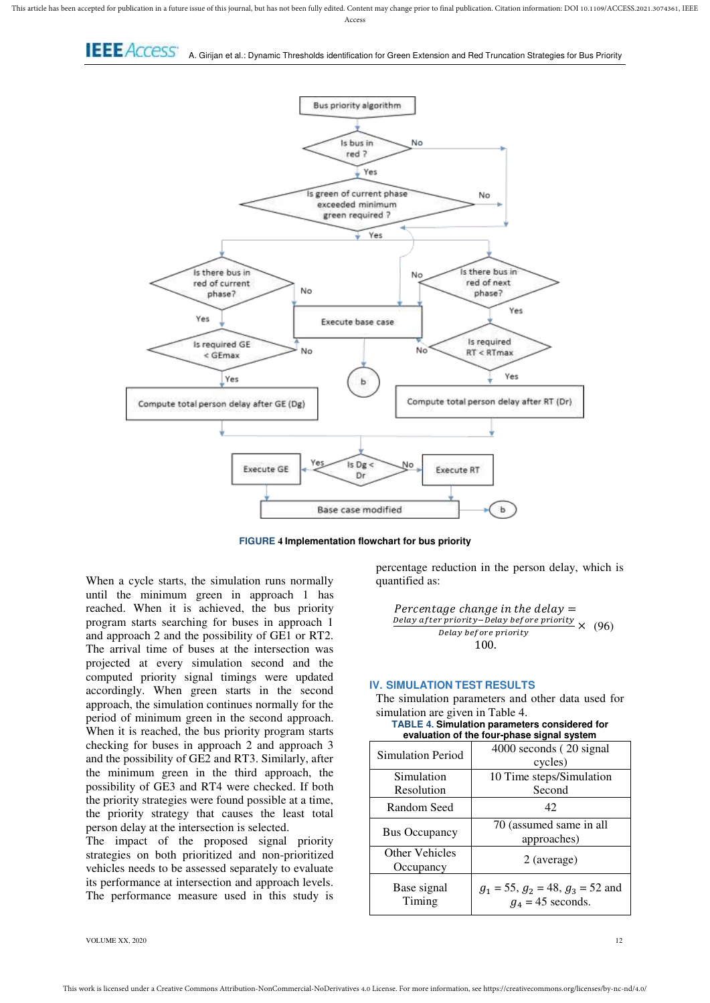This article has been accepted for publication in a future issue of this journal, but has not been fully edited. Content may change prior to final publication. Citation information: DOI 10.1109/ACCESS.2021.3074361, IEEE Acces:

A. Girijan et al.: Dynamic Thresholds identification for Green Extension and Red Truncation Strategies for Bus Priority



**FIGURE 4 Implementation flowchart for bus priority**

When a cycle starts, the simulation runs normally until the minimum green in approach 1 has reached. When it is achieved, the bus priority program starts searching for buses in approach 1 and approach 2 and the possibility of GE1 or RT2. The arrival time of buses at the intersection was projected at every simulation second and the computed priority signal timings were updated accordingly. When green starts in the second approach, the simulation continues normally for the period of minimum green in the second approach. When it is reached, the bus priority program starts checking for buses in approach 2 and approach 3 and the possibility of GE2 and RT3. Similarly, after the minimum green in the third approach, the possibility of GE3 and RT4 were checked. If both the priority strategies were found possible at a time, the priority strategy that causes the least total person delay at the intersection is selected.

The impact of the proposed signal priority strategies on both prioritized and non-prioritized vehicles needs to be assessed separately to evaluate its performance at intersection and approach levels. The performance measure used in this study is

percentage reduction in the person delay, which is quantified as:

**Percentage change in the delay =**

\n**Delay after priority-Delay before priority**

\n
$$
Delay before priority
$$

\n
$$
100.
$$

#### **IV. SIMULATION TEST RESULTS**

The simulation parameters and other data used for simulation are given in Table 4.

| <b>TABLE 4. Simulation parameters considered for</b> |
|------------------------------------------------------|
| evaluation of the four-phase signal system           |

| <b>Simulation Period</b>    | 4000 seconds (20 signal<br>cycles)                              |  |  |  |  |
|-----------------------------|-----------------------------------------------------------------|--|--|--|--|
| Simulation                  | 10 Time steps/Simulation                                        |  |  |  |  |
| Resolution                  | Second                                                          |  |  |  |  |
| Random Seed                 | 42                                                              |  |  |  |  |
| <b>Bus Occupancy</b>        | 70 (assumed same in all<br>approaches)                          |  |  |  |  |
| Other Vehicles<br>Occupancy | 2 (average)                                                     |  |  |  |  |
| Base signal<br>Timing       | $g_1 = 55$ , $g_2 = 48$ , $g_3 = 52$ and<br>$g_4$ = 45 seconds. |  |  |  |  |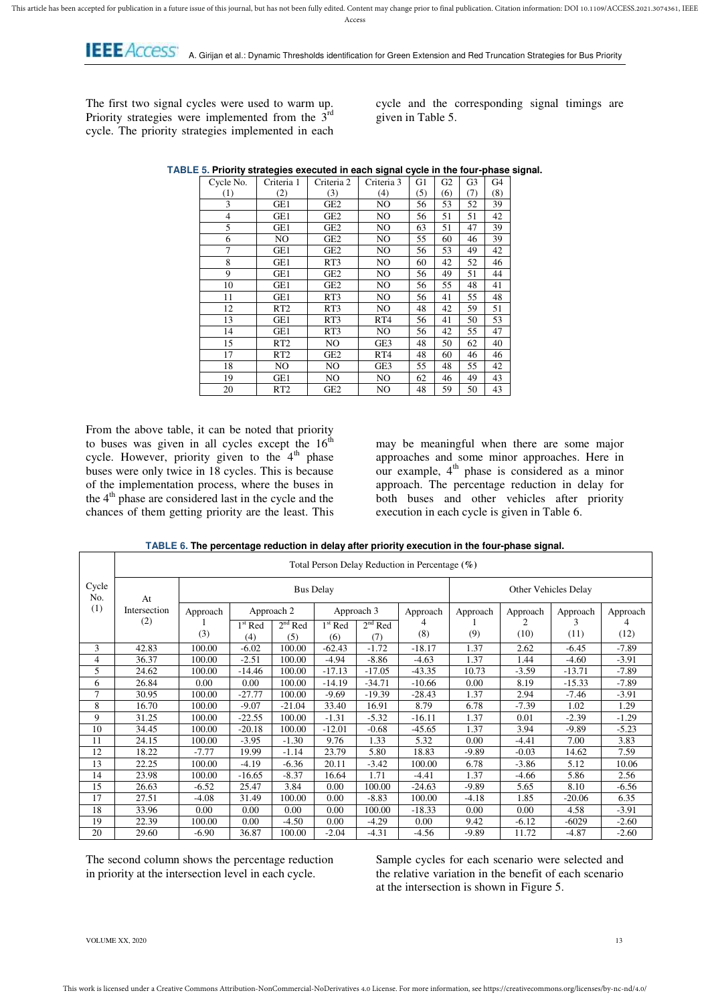**I. E. E. ACCESS**<br>**I. A. Girijan et al.:** Dynamic Thresholds identification for Green Extension and Red Truncation Strategies for Bus Priority

The first two signal cycles were used to warm up. Priority strategies were implemented from the 3<sup>rd</sup> cycle. The priority strategies implemented in each

cycle and the corresponding signal timings are given in Table 5.

| Cycle No. | Criteria 1      | Criteria 2      | Criteria 3      | G1  | G <sub>2</sub> | G3  | G4  |
|-----------|-----------------|-----------------|-----------------|-----|----------------|-----|-----|
| (1)       | (2)             | (3)             | (4)             | (5) | (6)            | (7) | (8) |
| 3         | GE1             | GE2             | NO              | 56  | 53             | 52  | 39  |
| 4         | GE1             | GE2             | NO.             | 56  | 51             | 51  | 42  |
| 5         | GE1             | GE2             | NO.             | 63  | 51             | 47  | 39  |
| 6         | NO              | GE <sub>2</sub> | NO.             | 55  | 60             | 46  | 39  |
| 7         | GE1             | GE <sub>2</sub> | NO.             | 56  | 53             | 49  | 42  |
| 8         | GE1             | RT3             | NO.             | 60  | 42             | 52  | 46  |
| 9         | GE1             | GE <sub>2</sub> | NO.             | 56  | 49             | 51  | 44  |
| 10        | GE1             | GE <sub>2</sub> | NO              | 56  | 55             | 48  | 41  |
| 11        | GE1             | RT3             | NO.             | 56  | 41             | 55  | 48  |
| 12        | RT2             | RT3             | NO              | 48  | 42             | 59  | 51  |
| 13        | GE1             | RT3             | RT <sub>4</sub> | 56  | 41             | 50  | 53  |
| 14        | GE1             | RT3             | NO.             | 56  | 42             | 55  | 47  |
| 15        | RT <sub>2</sub> | NO              | GE3             | 48  | 50             | 62  | 40  |
| 17        | RT <sub>2</sub> | GE <sub>2</sub> | RT <sub>4</sub> | 48  | 60             | 46  | 46  |
| 18        | NO              | NO              | GE3             | 55  | 48             | 55  | 42  |
| 19        | GE1             | NO.             | NO.             | 62  | 46             | 49  | 43  |
| 20        | RT <sub>2</sub> | GE2             | NO.             | 48  | 59             | 50  | 43  |

**TABLE 5. Priority strategies executed in each signal cycle in the four-phase signal.** 

From the above table, it can be noted that priority to buses was given in all cycles except the  $16<sup>th</sup>$ cycle. However, priority given to the  $4<sup>th</sup>$  phase buses were only twice in 18 cycles. This is because of the implementation process, where the buses in the  $4<sup>th</sup>$  phase are considered last in the cycle and the chances of them getting priority are the least. This

may be meaningful when there are some major approaches and some minor approaches. Here in our example,  $4<sup>th</sup>$  phase is considered as a minor approach. The percentage reduction in delay for both buses and other vehicles after priority execution in each cycle is given in Table 6.

**TABLE 6. The percentage reduction in delay after priority execution in the four-phase signal.** 

|              |              | Total Person Delay Reduction in Percentage (%) |           |                          |           |           |                      |          |           |           |          |
|--------------|--------------|------------------------------------------------|-----------|--------------------------|-----------|-----------|----------------------|----------|-----------|-----------|----------|
| Cycle<br>No. | At           | <b>Bus Delay</b>                               |           |                          |           |           | Other Vehicles Delay |          |           |           |          |
| (1)          | Intersection | Approach                                       |           | Approach 2<br>Approach 3 |           | Approach  |                      | Approach | Approach  | Approach  | Approach |
|              | (2)          | (3)                                            | $1st$ Red | $2nd$ Red                | $1st$ Red | $2nd$ Red | 4<br>(8)             | (9)      | 2<br>(10) | 3<br>(11) | (12)     |
|              |              |                                                | (4)       | (5)                      | (6)       | (7)       |                      |          |           |           |          |
| 3            | 42.83        | 100.00                                         | $-6.02$   | 100.00                   | $-62.43$  | $-1.72$   | $-18.17$             | 1.37     | 2.62      | $-6.45$   | $-7.89$  |
| 4            | 36.37        | 100.00                                         | $-2.51$   | 100.00                   | $-4.94$   | -8.86     | $-4.63$              | 1.37     | 1.44      | $-4.60$   | $-3.91$  |
| 5            | 24.62        | 100.00                                         | $-14.46$  | 100.00                   | $-17.13$  | $-17.05$  | $-43.35$             | 10.73    | $-3.59$   | $-13.71$  | $-7.89$  |
| 6            | 26.84        | 0.00                                           | 0.00      | 100.00                   | $-14.19$  | $-34.71$  | $-10.66$             | $0.00\,$ | 8.19      | $-15.33$  | $-7.89$  |
| 7            | 30.95        | 100.00                                         | $-27.77$  | 100.00                   | $-9.69$   | $-19.39$  | $-28.43$             | 1.37     | 2.94      | $-7.46$   | $-3.91$  |
| 8            | 16.70        | 100.00                                         | $-9.07$   | $-21.04$                 | 33.40     | 16.91     | 8.79                 | 6.78     | $-7.39$   | 1.02      | 1.29     |
| 9            | 31.25        | 100.00                                         | $-22.55$  | 100.00                   | $-1.31$   | $-5.32$   | $-16.11$             | 1.37     | 0.01      | $-2.39$   | $-1.29$  |
| 10           | 34.45        | 100.00                                         | $-20.18$  | 100.00                   | $-12.01$  | $-0.68$   | $-45.65$             | 1.37     | 3.94      | $-9.89$   | $-5.23$  |
| 11           | 24.15        | 100.00                                         | $-3.95$   | $-1.30$                  | 9.76      | 1.33      | 5.32                 | 0.00     | $-4.41$   | 7.00      | 3.83     |
| 12           | 18.22        | $-7.77$                                        | 19.99     | $-1.14$                  | 23.79     | 5.80      | 18.83                | $-9.89$  | $-0.03$   | 14.62     | 7.59     |
| 13           | 22.25        | 100.00                                         | $-4.19$   | $-6.36$                  | 20.11     | $-3.42$   | 100.00               | 6.78     | $-3.86$   | 5.12      | 10.06    |
| 14           | 23.98        | 100.00                                         | $-16.65$  | $-8.37$                  | 16.64     | 1.71      | $-4.41$              | 1.37     | $-4.66$   | 5.86      | 2.56     |
| 15           | 26.63        | $-6.52$                                        | 25.47     | 3.84                     | 0.00      | 100.00    | $-24.63$             | $-9.89$  | 5.65      | 8.10      | $-6.56$  |
| 17           | 27.51        | -4.08                                          | 31.49     | 100.00                   | 0.00      | $-8.83$   | 100.00               | $-4.18$  | 1.85      | $-20.06$  | 6.35     |
| 18           | 33.96        | 0.00                                           | 0.00      | 0.00                     | 0.00      | 100.00    | $-18.33$             | 0.00     | 0.00      | 4.58      | $-3.91$  |
| 19           | 22.39        | 100.00                                         | 0.00      | $-4.50$                  | 0.00      | $-4.29$   | 0.00                 | 9.42     | $-6.12$   | $-6029$   | $-2.60$  |
| 20           | 29.60        | -6.90                                          | 36.87     | 100.00                   | $-2.04$   | $-4.31$   | $-4.56$              | $-9.89$  | 11.72     | $-4.87$   | $-2.60$  |

The second column shows the percentage reduction in priority at the intersection level in each cycle.

Sample cycles for each scenario were selected and the relative variation in the benefit of each scenario at the intersection is shown in Figure 5.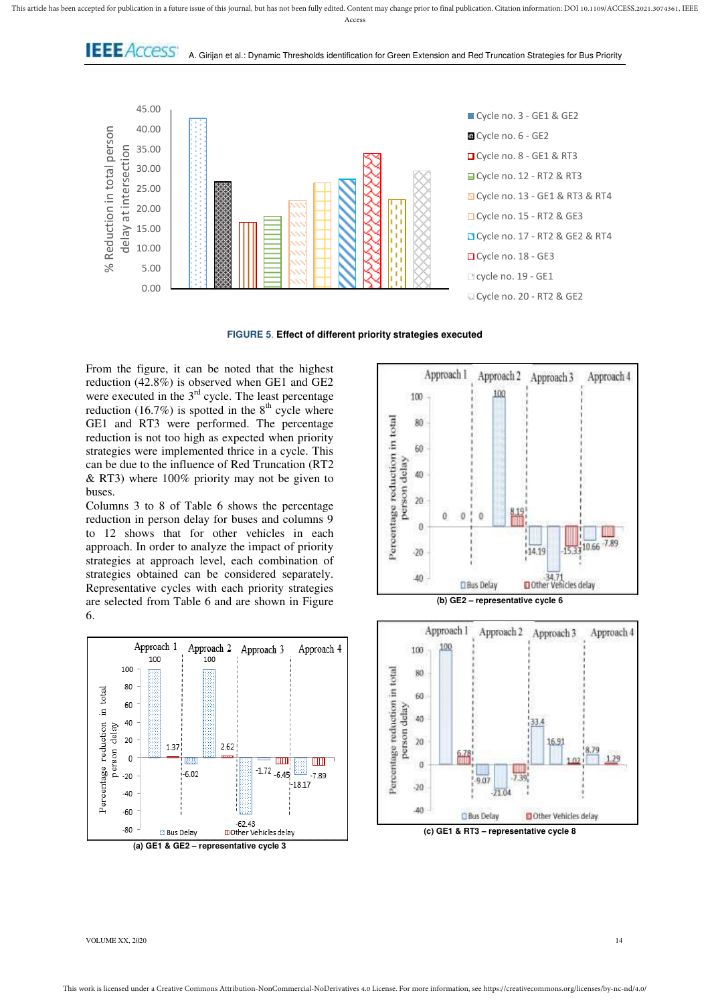This article has been accepted for publication in a future issue of this journal, but has not been fully edited. Content may change prior to final publication. Citation information: DOI 10.1109/ACCESS.2021.3074361, IEEE Acces:

**I.E.E.** ACCESS' A. Girijan et al.: Dynamic Thresholds identification for Green Extension and Red Truncation Strategies for Bus Priority



**FIGURE 5**. **Effect of different priority strategies executed** 

From the figure, it can be noted that the highest reduction (42.8%) is observed when GE1 and GE2 were executed in the  $3<sup>rd</sup>$  cycle. The least percentage reduction (16.7%) is spotted in the  $8<sup>th</sup>$  cycle where GE1 and RT3 were performed. The percentage reduction is not too high as expected when priority strategies were implemented thrice in a cycle. This can be due to the influence of Red Truncation (RT2 & RT3) where 100% priority may not be given to buses.

Columns 3 to 8 of Table 6 shows the percentage reduction in person delay for buses and columns 9 to 12 shows that for other vehicles in each approach. In order to analyze the impact of priority strategies at approach level, each combination of strategies obtained can be considered separately. Representative cycles with each priority strategies are selected from Table 6 and are shown in Figure 6.





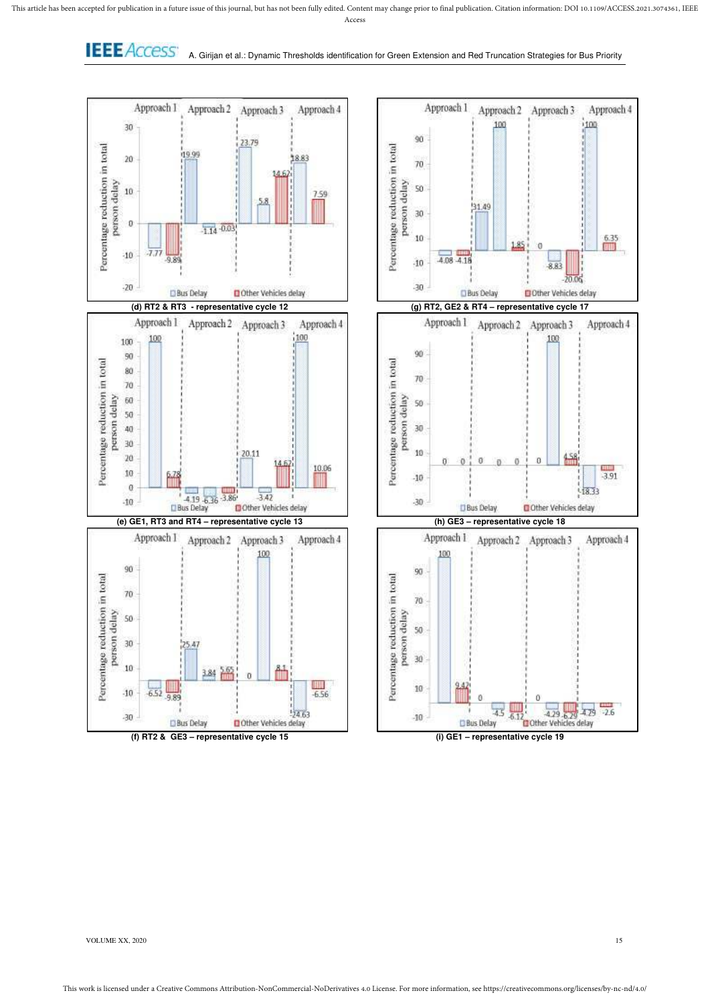**I.E.E.** ACCESS<sup>\*</sup> A. Girijan et al.: Dynamic Thresholds identification for Green Extension and Red Truncation Strategies for Bus Priority

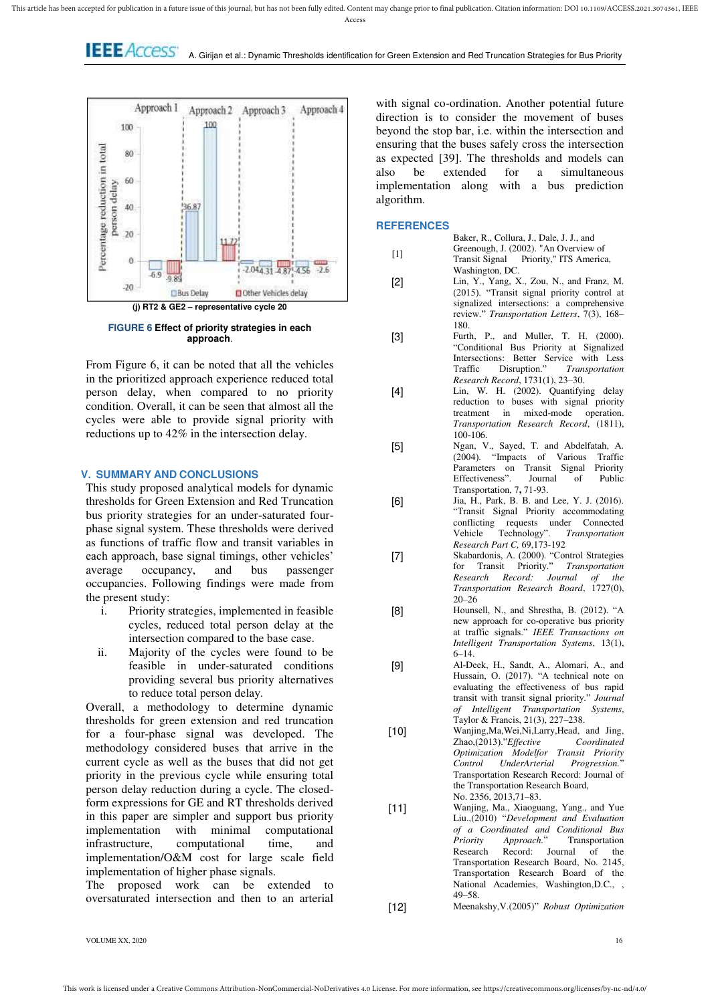**LEE** ACCESS<sup>\*</sup> A. Girijan et al.: Dynamic Thresholds identification for Green Extension and Red Truncation Strategies for Bus Priority



**FIGURE 6 Effect of priority strategies in each approach**.

From Figure 6, it can be noted that all the vehicles in the prioritized approach experience reduced total person delay, when compared to no priority condition. Overall, it can be seen that almost all the cycles were able to provide signal priority with reductions up to 42% in the intersection delay.

## **V. SUMMARY AND CONCLUSIONS**

This study proposed analytical models for dynamic thresholds for Green Extension and Red Truncation bus priority strategies for an under-saturated fourphase signal system. These thresholds were derived as functions of traffic flow and transit variables in each approach, base signal timings, other vehicles'<br>average occupancy, and bus passenger average occupancy, and bus occupancies. Following findings were made from the present study:

- i. Priority strategies, implemented in feasible cycles, reduced total person delay at the intersection compared to the base case.
- ii. Majority of the cycles were found to be feasible in under-saturated conditions providing several bus priority alternatives to reduce total person delay.

Overall, a methodology to determine dynamic thresholds for green extension and red truncation for a four-phase signal was developed. The methodology considered buses that arrive in the current cycle as well as the buses that did not get priority in the previous cycle while ensuring total person delay reduction during a cycle. The closedform expressions for GE and RT thresholds derived in this paper are simpler and support bus priority implementation with minimal computational infrastructure, computational time, and implementation/O&M cost for large scale field implementation of higher phase signals.

The proposed work can be extended to oversaturated intersection and then to an arterial

with signal co-ordination. Another potential future direction is to consider the movement of buses beyond the stop bar, i.e. within the intersection and ensuring that the buses safely cross the intersection as expected [39]. The thresholds and models can also be extended for a simultaneous implementation along with a bus prediction algorithm.

## **REFERENCES**

- [1] Baker, R., Collura, J., Dale, J. J., and Greenough, J. (2002). "An Overview of Transit Signal Priority," ITS America, Washington, DC.
- [2] Lin, Y., Yang, X., Zou, N., and Franz, M. (2015). "Transit signal priority control at signalized intersections: a comprehensive review." *Transportation Letters*, 7(3), 168– 180.
- [3] Furth, P., and Muller, T. H. (2000). "Conditional Bus Priority at Signalized Intersections: Better Service with Less<br>Traffic Disruption." Transportation  $Transportation$ *Research Record*, 1731(1), 23–30.
- [4] Lin, W. H. (2002). Quantifying delay reduction to buses with signal priority treatment in mixed-mode operation. *Transportation Research Record*, (1811), 100-106.
- [5] Ngan, V., Sayed, T. and Abdelfatah, A. (2004). "Impacts of Various Traffic Parameters on Transit Signal Priority Effectiveness". Journal of Public Transportation, 7**,** 71-93.
- [6] Jia, H., Park, B. B. and Lee, Y. J. (2016). "Transit Signal Priority accommodating conflicting requests under Connected Vehicle Technology". *Transportation Research Part C,* 69,173-192
- [7] Skabardonis, A. (2000). "Control Strategies for Transit Priority." *Transportation Research Record: Journal of the Transportation Research Board*, 1727(0),  $20 - 26$
- [8] Hounsell, N., and Shrestha, B. (2012). "A new approach for co-operative bus priority at traffic signals." *IEEE Transactions on Intelligent Transportation Systems*, 13(1), 6–14.
- [9] Al-Deek, H., Sandt, A., Alomari, A., and Hussain, O. (2017). "A technical note on evaluating the effectiveness of bus rapid transit with transit signal priority." *Journal of Intelligent Transportation Systems*, Taylor & Francis, 21(3), 227–238.
- [10] Wanjing,Ma,Wei,Ni,Larry,Head, and Jing,<br>Zhao.(2013)."Effective Coordinated Zhao,(2013)."*Effective Optimization Modelfor Transit Priority Control UnderArterial Progression.*" Transportation Research Record: Journal of the Transportation Research Board, No. 2356, 2013,71–83.
- [11] Wanjing, Ma., Xiaoguang, Yang., and Yue Liu.,(2010) "*Development and Evaluation of a Coordinated and Conditional Bus*  **Priority Approach."** Transportation<br>Research Record: Journal of the Record: Journal of the Transportation Research Board, No. 2145, Transportation Research Board of the National Academies, Washington,D.C., , 49–58.
- [12] Meenakshy,V.(2005)" *Robust Optimization*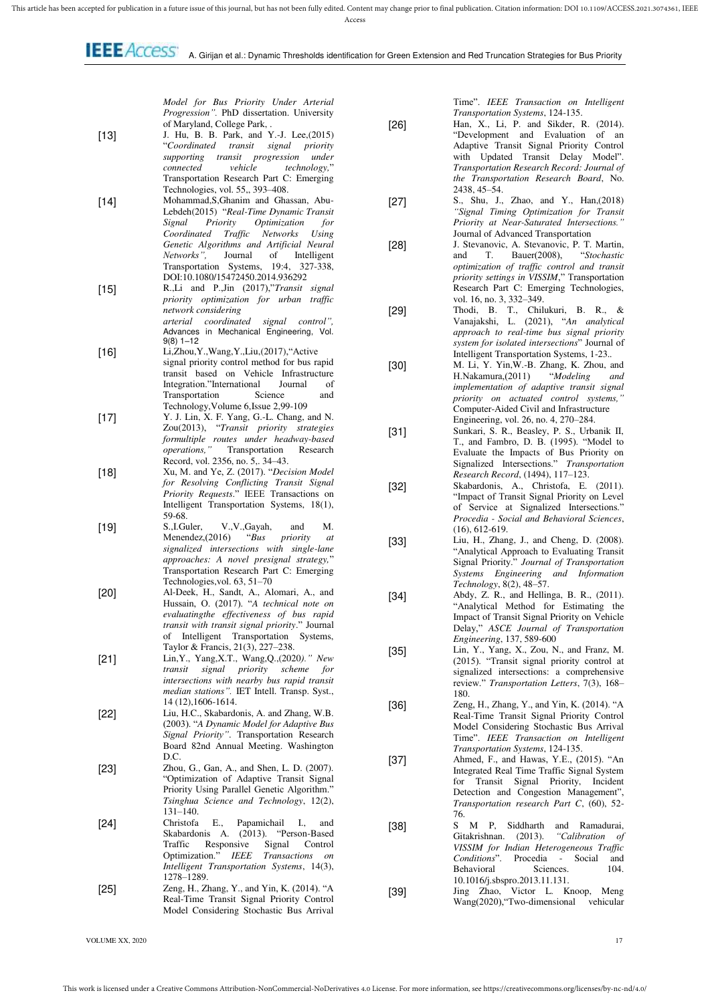*Model for Bus Priority Under Arterial Progression".* PhD dissertation. University of Maryland, College Park, .

- [13] J. Hu, B. B. Park, and Y.-J. Lee,(2015) "*Coordinated transit signal priority supporting transit progression under connected vehicle technology,*" Transportation Research Part C: Emerging Technologies, vol. 55,, 393–408.
- [14] Mohammad,S,Ghanim and Ghassan, Abu-Lebdeh(2015) "*Real-Time Dynamic Transit Signal Priority Optimization for Coordinated Traffic Networks Using Genetic Algorithms and Artificial Neural Networks",* Journal of Intelligent Transportation Systems, 19:4, 327-338, DOI:10.1080/15472450.2014.936292
- [15] R.,Li and P.,Jin (2017),"*Transit signal priority optimization for urban traffic network considering arterial coordinated signal control",* Advances in Mechanical Engineering, Vol. 9(8) 1–12
- [16] Li,Zhou,Y.,Wang,Y.,Liu,(2017),"Active signal priority control method for bus rapid transit based on Vehicle Infrastructure Integration."International Journal of<br>Transportation Science and Transportation Technology,Volume 6,Issue 2,99-109
- [17] Y. J. Lin, X. F. Yang, G.-L. Chang, and N. Zou(2013), "*Transit priority strategies formultiple routes under headway-based operations,"* Transportation Research Record, vol. 2356, no. 5,. 34–43.
- [18] Xu, M. and Ye, Z. (2017). "*Decision Model for Resolving Conflicting Transit Signal Priority Requests*." IEEE Transactions on Intelligent Transportation Systems, 18(1), 59-68.<br>S..I.Guler.
- [19] S.,I.Guler, V.,V.,Gayah, and M.<br>Menendez,(2016) "Bus priority at *Menendez*,(2016) *signalized intersections with single-lane approaches: A novel presignal strategy,*" Transportation Research Part C: Emerging Technologies,vol. 63, 51–70
- [20] Al-Deek, H., Sandt, A., Alomari, A., and Hussain, O. (2017). "*A technical note on evaluatingthe effectiveness of bus rapid transit with transit signal priority*." Journal of Intelligent Transportation Systems, Taylor & Francis, 21(3), 227–238.
- [21] Lin,Y., Yang,X.T., Wang,Q.,(2020*)." New transit signal priority scheme for intersections with nearby bus rapid transit median stations".* IET Intell. Transp. Syst., 14 (12),1606-1614.
- [22] Liu, H.C., Skabardonis, A. and Zhang, W.B. (2003). "*A Dynamic Model for Adaptive Bus Signal Priority"*. Transportation Research Board 82nd Annual Meeting. Washington  $D C$
- [23] Zhou, G., Gan, A., and Shen, L. D. (2007). "Optimization of Adaptive Transit Signal Priority Using Parallel Genetic Algorithm." *Tsinghua Science and Technology*, 12(2), 131–140.
- [24] Christofa E., Papamichail I., and Skabardonis A. (2013). "Person-Based Traffic Responsive Signal Control<br>Optimization." IEEE Transactions on IEEE Transactions on *Intelligent Transportation Systems*, 14(3), 1278–1289.
- [25] Zeng, H., Zhang, Y., and Yin, K. (2014). "A Real-Time Transit Signal Priority Control Model Considering Stochastic Bus Arrival

Time". *IEEE Transaction on Intelligent Transportation Systems*, 124-135.

- [26] Han, X., Li, P. and Sikder, R. (2014). "Development and Evaluation of an Adaptive Transit Signal Priority Control with Updated Transit Delay Model". *Transportation Research Record: Journal of the Transportation Research Board*, No. 2438, 45–54.
- [27] S., Shu, J., Zhao, and Y., Han,(2018) *"Signal Timing Optimization for Transit Priority at Near-Saturated Intersections."* Journal of Advanced Transportation
- [28] J. Stevanovic, A. Stevanovic, P. T. Martin, and T. Bauer(2008), "Stochastic T. Bauer(2008), *optimization of traffic control and transit priority settings in VISSIM*," Transportation Research Part C: Emerging Technologies, vol. 16, no. 3, 332–349.
- [29] Thodi, B. T., Chilukuri, B. R., & Vanajakshi, L. (2021), "*An analytical approach to real-time bus signal priority system for isolated intersections*" Journal of Intelligent Transportation Systems, 1-23.*.*
- [30] M. Li, Y. Yin, W.-B. Zhang, K. Zhou, and H.Nakamura, (2011) "*Modeling and* H.Nakamura,(2011) "*Modeling and implementation of adaptive transit signal priority on actuated control systems,"* Computer-Aided Civil and Infrastructure Engineering, vol. 26, no. 4, 270–284.
- [31] Sunkari, S. R., Beasley, P. S., Urbanik II, T., and Fambro, D. B. (1995). "Model to Evaluate the Impacts of Bus Priority on Signalized Intersections." *Transportation Research Record*, (1494), 117–123.
- [32] Skabardonis, A., Christofa, E. (2011). "Impact of Transit Signal Priority on Level of Service at Signalized Intersections." *Procedia - Social and Behavioral Sciences*, (16), 612-619.
- [33] Liu, H., Zhang, J., and Cheng, D. (2008). "Analytical Approach to Evaluating Transit Signal Priority." *Journal of Transportation Systems Engineering and Information Technology*, 8(2), 48–57.
- [34] Abdy, Z. R., and Hellinga, B. R., (2011). "Analytical Method for Estimating the Impact of Transit Signal Priority on Vehicle Delay," *ASCE Journal of Transportation Engineering*, 137, 589-600
- [35] Lin, Y., Yang, X., Zou, N., and Franz, M. (2015). "Transit signal priority control at signalized intersections: a comprehensive review." *Transportation Letters*, 7(3), 168– 180.
- [36] Zeng, H., Zhang, Y., and Yin, K. (2014). "A Real-Time Transit Signal Priority Control Model Considering Stochastic Bus Arrival Time". *IEEE Transaction on Intelligent Transportation Systems*, 124-135.
- [37] Ahmed, F., and Hawas, Y.E., (2015). "An Integrated Real Time Traffic Signal System for Transit Signal Priority, Incident Detection and Congestion Management", *Transportation research Part C*, (60), 52- 76.
- [38] S M P, Siddharth and Ramadurai, Gitakrishnan. (2013). *"Calibration of VISSIM for Indian Heterogeneous Traffic Conditions*". Procedia - Social and Behavioral 10.1016/j.sbspro.2013.11.131.
- [39] Jing Zhao, Victor L. Knoop, Meng Wang(2020),"Two-dimensional vehicular